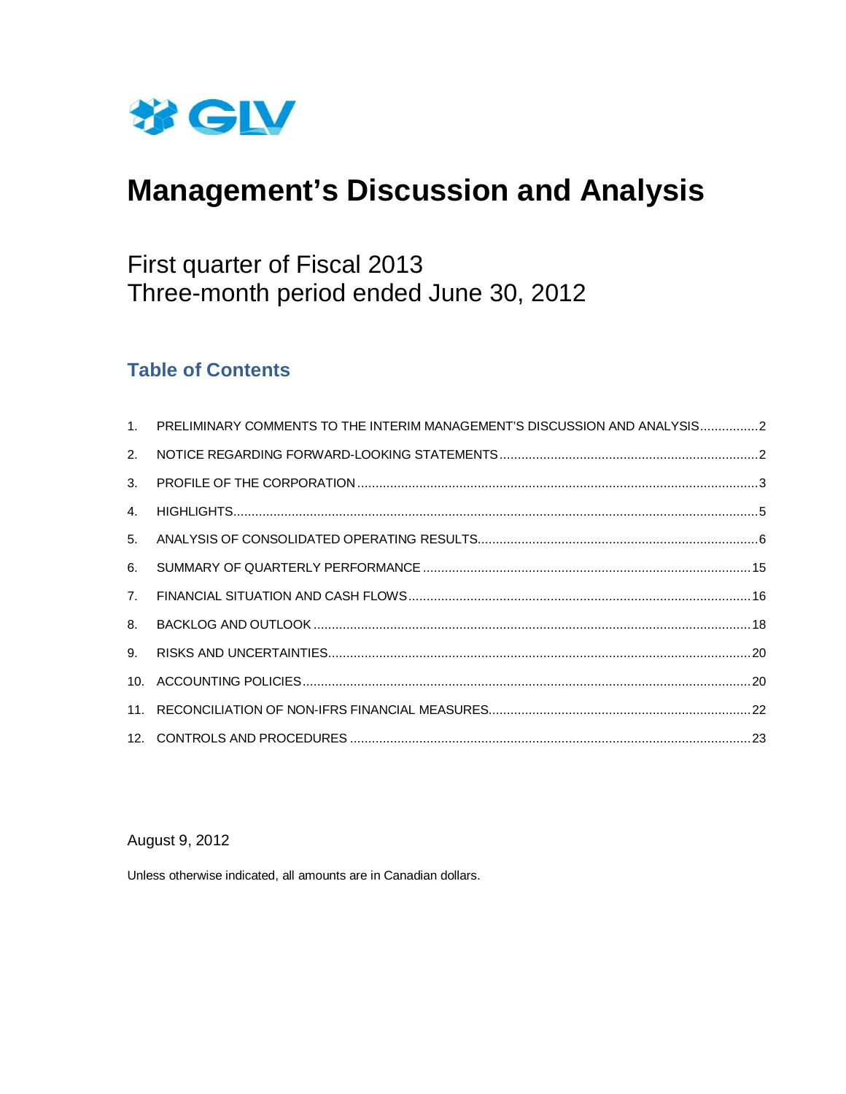

# **Management's Discussion and Analysis**

# First quarter of Fiscal 2013 Three-month period ended June 30, 2012

# **Table of Contents**

| 1 <sup>1</sup> | PRELIMINARY COMMENTS TO THE INTERIM MANAGEMENT'S DISCUSSION AND ANALYSIS2 |  |
|----------------|---------------------------------------------------------------------------|--|
| 2.             |                                                                           |  |
| 3 <sub>1</sub> |                                                                           |  |
| 4.             |                                                                           |  |
| 5 <sub>1</sub> |                                                                           |  |
| 6.             |                                                                           |  |
| 7 <sub>1</sub> |                                                                           |  |
| 8.             |                                                                           |  |
| 9 <sub>1</sub> |                                                                           |  |
|                |                                                                           |  |
|                |                                                                           |  |
|                |                                                                           |  |

# August 9, 2012

Unless otherwise indicated, all amounts are in Canadian dollars.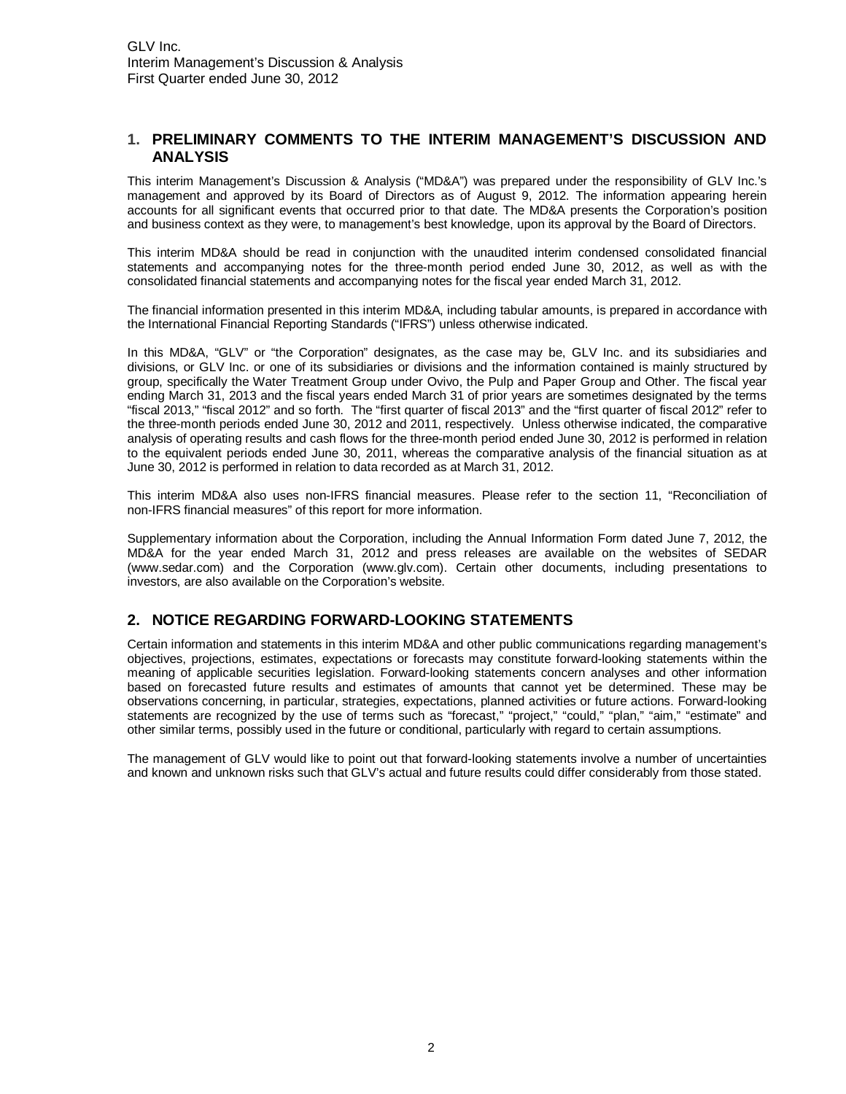# <span id="page-1-0"></span>**1. PRELIMINARY COMMENTS TO THE INTERIM MANAGEMENT'S DISCUSSION AND ANALYSIS**

This interim Management's Discussion & Analysis ("MD&A") was prepared under the responsibility of GLV Inc.'s management and approved by its Board of Directors as of August 9, 2012. The information appearing herein accounts for all significant events that occurred prior to that date. The MD&A presents the Corporation's position and business context as they were, to management's best knowledge, upon its approval by the Board of Directors.

This interim MD&A should be read in conjunction with the unaudited interim condensed consolidated financial statements and accompanying notes for the three-month period ended June 30, 2012, as well as with the consolidated financial statements and accompanying notes for the fiscal year ended March 31, 2012.

The financial information presented in this interim MD&A, including tabular amounts, is prepared in accordance with the International Financial Reporting Standards ("IFRS") unless otherwise indicated.

In this MD&A, "GLV" or "the Corporation" designates, as the case may be, GLV Inc. and its subsidiaries and divisions, or GLV Inc. or one of its subsidiaries or divisions and the information contained is mainly structured by group, specifically the Water Treatment Group under Ovivo, the Pulp and Paper Group and Other. The fiscal year ending March 31, 2013 and the fiscal years ended March 31 of prior years are sometimes designated by the terms "fiscal 2013," "fiscal 2012" and so forth. The "first quarter of fiscal 2013" and the "first quarter of fiscal 2012" refer to the three-month periods ended June 30, 2012 and 2011, respectively. Unless otherwise indicated, the comparative analysis of operating results and cash flows for the three-month period ended June 30, 2012 is performed in relation to the equivalent periods ended June 30, 2011, whereas the comparative analysis of the financial situation as at June 30, 2012 is performed in relation to data recorded as at March 31, 2012.

This interim MD&A also uses non-IFRS financial measures. Please refer to the section 11, "Reconciliation of non-IFRS financial measures" of this report for more information.

Supplementary information about the Corporation, including the Annual Information Form dated June 7, 2012, the MD&A for the year ended March 31, 2012 and press releases are available on the websites of SEDAR [\(www.sedar.com\) and the Corporation \(www.glv.com\). Certain other documents, including presentations to](http://www.sedar.com/)  investors, are also available on the Corporation's website.

# **2. NOTICE REGARDING FORWARD-LOOKING STATEMENTS**

Certain information and statements in this interim MD&A and other public communications regarding management's objectives, projections, estimates, expectations or forecasts may constitute forward-looking statements within the meaning of applicable securities legislation. Forward-looking statements concern analyses and other information based on forecasted future results and estimates of amounts that cannot yet be determined. These may be observations concerning, in particular, strategies, expectations, planned activities or future actions. Forward-looking statements are recognized by the use of terms such as "forecast," "project," "could," "plan," "aim," "estimate" and other similar terms, possibly used in the future or conditional, particularly with regard to certain assumptions.

The management of GLV would like to point out that forward-looking statements involve a number of uncertainties and known and unknown risks such that GLV's actual and future results could differ considerably from those stated.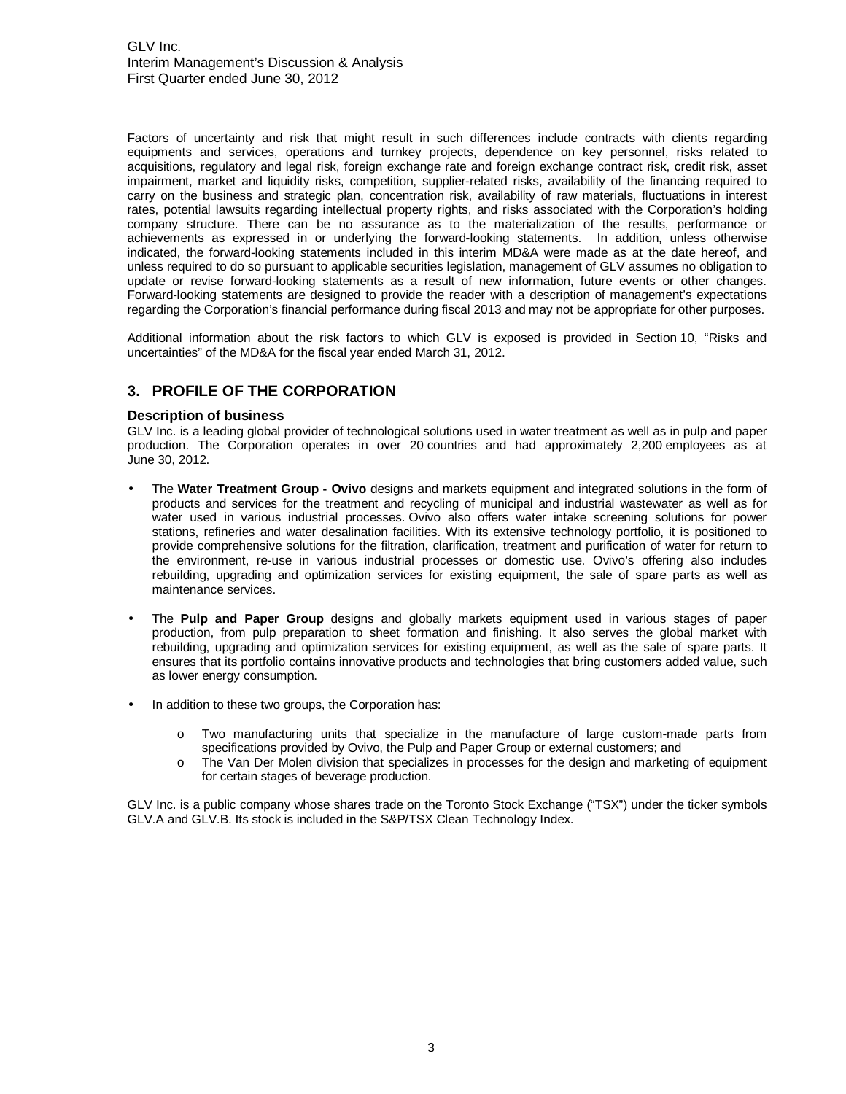<span id="page-2-0"></span>Factors of uncertainty and risk that might result in such differences include contracts with clients regarding equipments and services, operations and turnkey projects, dependence on key personnel, risks related to acquisitions, regulatory and legal risk, foreign exchange rate and foreign exchange contract risk, credit risk, asset impairment, market and liquidity risks, competition, supplier-related risks, availability of the financing required to carry on the business and strategic plan, concentration risk, availability of raw materials, fluctuations in interest rates, potential lawsuits regarding intellectual property rights, and risks associated with the Corporation's holding company structure. There can be no assurance as to the materialization of the results, performance or achievements as expressed in or underlying the forward-looking statements. In addition, unless otherwise indicated, the forward-looking statements included in this interim MD&A were made as at the date hereof, and unless required to do so pursuant to applicable securities legislation, management of GLV assumes no obligation to update or revise forward-looking statements as a result of new information, future events or other changes. Forward-looking statements are designed to provide the reader with a description of management's expectations regarding the Corporation's financial performance during fiscal 2013 and may not be appropriate for other purposes.

Additional information about the risk factors to which GLV is exposed is provided in Section 10, "Risks and uncertainties" of the MD&A for the fiscal year ended March 31, 2012.

# **3. PROFILE OF THE CORPORATION**

#### **Description of business**

GLV Inc. is a leading global provider of technological solutions used in water treatment as well as in pulp and paper production. The Corporation operates in over 20 countries and had approximately 2,200 employees as at June 30, 2012.

- The **Water Treatment Group Ovivo** designs and markets equipment and integrated solutions in the form of products and services for the treatment and recycling of municipal and industrial wastewater as well as for water used in various industrial processes. Ovivo also offers water intake screening solutions for power stations, refineries and water desalination facilities. With its extensive technology portfolio, it is positioned to provide comprehensive solutions for the filtration, clarification, treatment and purification of water for return to the environment, re-use in various industrial processes or domestic use. Ovivo's offering also includes rebuilding, upgrading and optimization services for existing equipment, the sale of spare parts as well as maintenance services.
- The **Pulp and Paper Group** designs and globally markets equipment used in various stages of paper production, from pulp preparation to sheet formation and finishing. It also serves the global market with rebuilding, upgrading and optimization services for existing equipment, as well as the sale of spare parts. It ensures that its portfolio contains innovative products and technologies that bring customers added value, such as lower energy consumption.
- In addition to these two groups, the Corporation has:
	- o Two manufacturing units that specialize in the manufacture of large custom-made parts from specifications provided by Ovivo, the Pulp and Paper Group or external customers; and
	- o The Van Der Molen division that specializes in processes for the design and marketing of equipment for certain stages of beverage production.

GLV Inc. is a public company whose shares trade on the Toronto Stock Exchange ("TSX") under the ticker symbols GLV.A and GLV.B. Its stock is included in the S&P/TSX Clean Technology Index.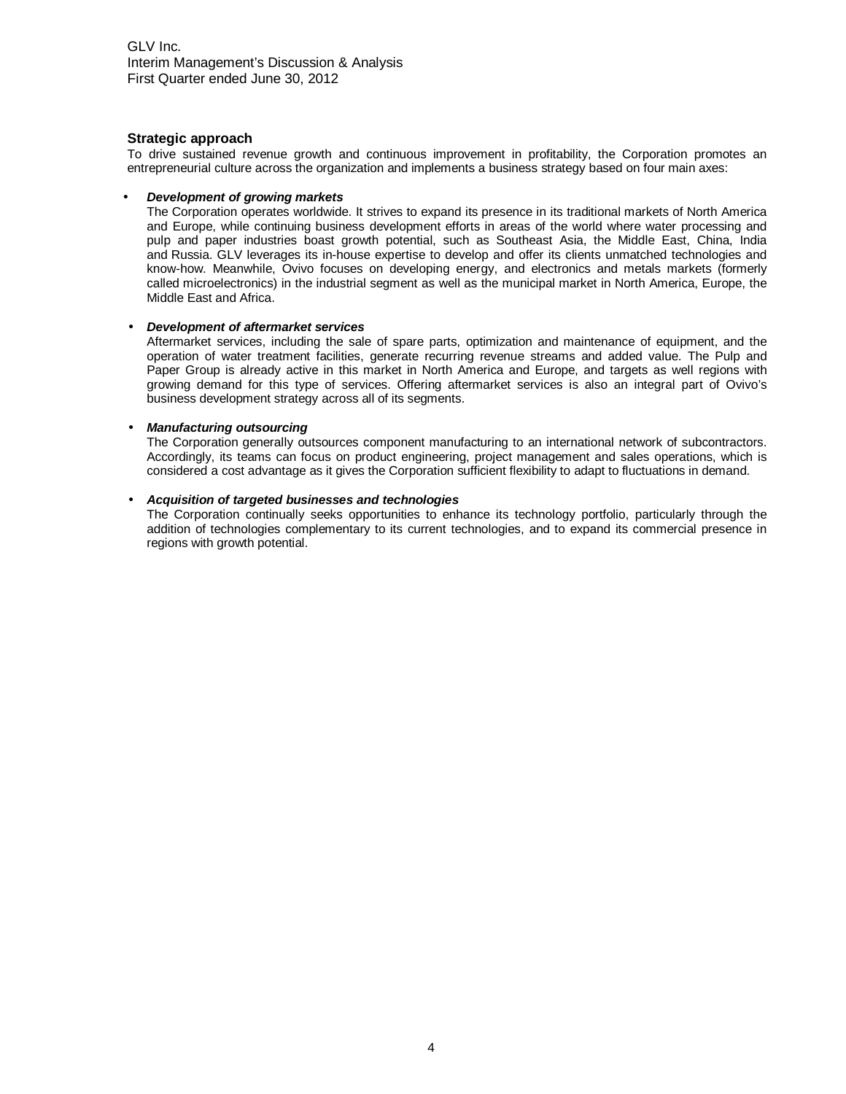## **Strategic approach**

To drive sustained revenue growth and continuous improvement in profitability, the Corporation promotes an entrepreneurial culture across the organization and implements a business strategy based on four main axes:

#### • **Development of growing markets**

The Corporation operates worldwide. It strives to expand its presence in its traditional markets of North America and Europe, while continuing business development efforts in areas of the world where water processing and pulp and paper industries boast growth potential, such as Southeast Asia, the Middle East, China, India and Russia. GLV leverages its in-house expertise to develop and offer its clients unmatched technologies and know-how. Meanwhile, Ovivo focuses on developing energy, and electronics and metals markets (formerly called microelectronics) in the industrial segment as well as the municipal market in North America, Europe, the Middle East and Africa.

#### • **Development of aftermarket services**

Aftermarket services, including the sale of spare parts, optimization and maintenance of equipment, and the operation of water treatment facilities, generate recurring revenue streams and added value. The Pulp and Paper Group is already active in this market in North America and Europe, and targets as well regions with growing demand for this type of services. Offering aftermarket services is also an integral part of Ovivo's business development strategy across all of its segments.

#### • **Manufacturing outsourcing**

The Corporation generally outsources component manufacturing to an international network of subcontractors. Accordingly, its teams can focus on product engineering, project management and sales operations, which is considered a cost advantage as it gives the Corporation sufficient flexibility to adapt to fluctuations in demand.

#### • **Acquisition of targeted businesses and technologies**

The Corporation continually seeks opportunities to enhance its technology portfolio, particularly through the addition of technologies complementary to its current technologies, and to expand its commercial presence in regions with growth potential.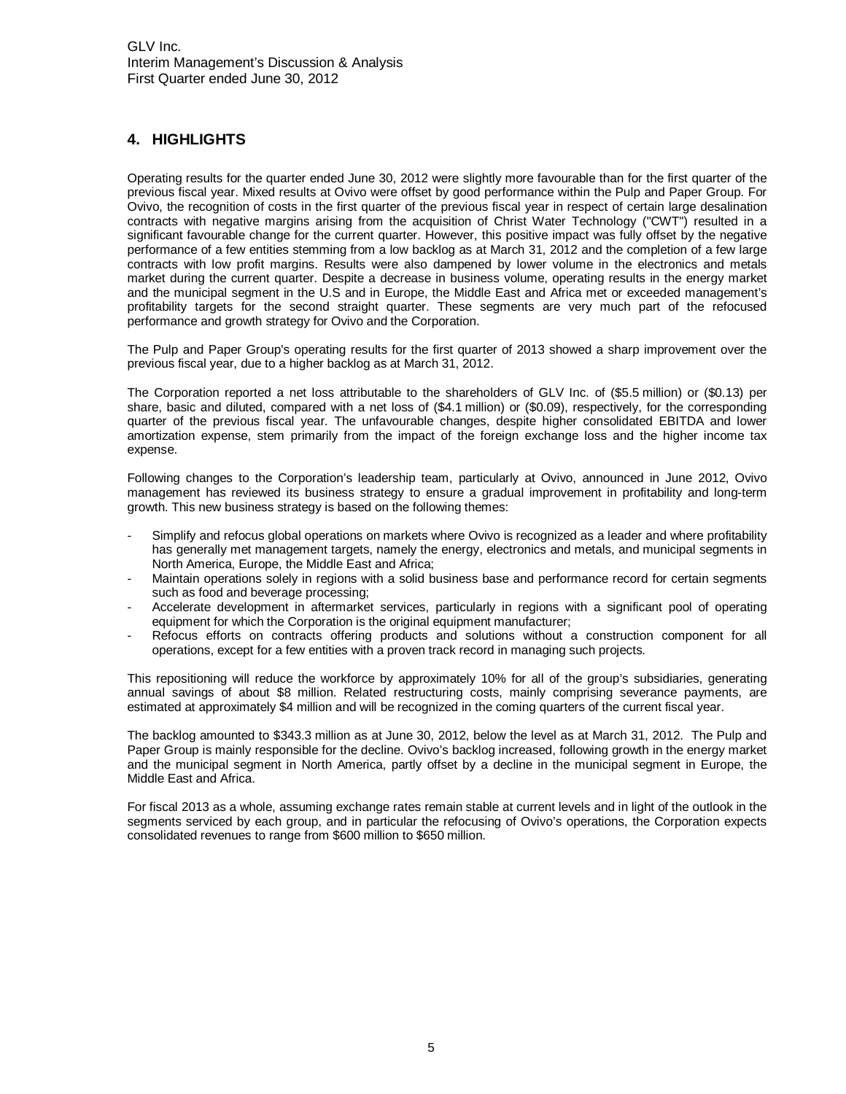# <span id="page-4-0"></span>**4. HIGHLIGHTS**

Operating results for the quarter ended June 30, 2012 were slightly more favourable than for the first quarter of the previous fiscal year. Mixed results at Ovivo were offset by good performance within the Pulp and Paper Group. For Ovivo, the recognition of costs in the first quarter of the previous fiscal year in respect of certain large desalination contracts with negative margins arising from the acquisition of Christ Water Technology ("CWT") resulted in a significant favourable change for the current quarter. However, this positive impact was fully offset by the negative performance of a few entities stemming from a low backlog as at March 31, 2012 and the completion of a few large contracts with low profit margins. Results were also dampened by lower volume in the electronics and metals market during the current quarter. Despite a decrease in business volume, operating results in the energy market and the municipal segment in the U.S and in Europe, the Middle East and Africa met or exceeded management's profitability targets for the second straight quarter. These segments are very much part of the refocused performance and growth strategy for Ovivo and the Corporation.

The Pulp and Paper Group's operating results for the first quarter of 2013 showed a sharp improvement over the previous fiscal year, due to a higher backlog as at March 31, 2012.

The Corporation reported a net loss attributable to the shareholders of GLV Inc. of (\$5.5 million) or (\$0.13) per share, basic and diluted, compared with a net loss of (\$4.1 million) or (\$0.09), respectively, for the corresponding quarter of the previous fiscal year. The unfavourable changes, despite higher consolidated EBITDA and lower amortization expense, stem primarily from the impact of the foreign exchange loss and the higher income tax expense.

Following changes to the Corporation's leadership team, particularly at Ovivo, announced in June 2012, Ovivo management has reviewed its business strategy to ensure a gradual improvement in profitability and long-term growth. This new business strategy is based on the following themes:

- Simplify and refocus global operations on markets where Ovivo is recognized as a leader and where profitability has generally met management targets, namely the energy, electronics and metals, and municipal segments in North America, Europe, the Middle East and Africa;
- Maintain operations solely in regions with a solid business base and performance record for certain segments such as food and beverage processing;
- Accelerate development in aftermarket services, particularly in regions with a significant pool of operating equipment for which the Corporation is the original equipment manufacturer;
- Refocus efforts on contracts offering products and solutions without a construction component for all operations, except for a few entities with a proven track record in managing such projects.

This repositioning will reduce the workforce by approximately 10% for all of the group's subsidiaries, generating annual savings of about \$8 million. Related restructuring costs, mainly comprising severance payments, are estimated at approximately \$4 million and will be recognized in the coming quarters of the current fiscal year.

The backlog amounted to \$343.3 million as at June 30, 2012, below the level as at March 31, 2012. The Pulp and Paper Group is mainly responsible for the decline. Ovivo's backlog increased, following growth in the energy market and the municipal segment in North America, partly offset by a decline in the municipal segment in Europe, the Middle East and Africa.

For fiscal 2013 as a whole, assuming exchange rates remain stable at current levels and in light of the outlook in the segments serviced by each group, and in particular the refocusing of Ovivo's operations, the Corporation expects consolidated revenues to range from \$600 million to \$650 million.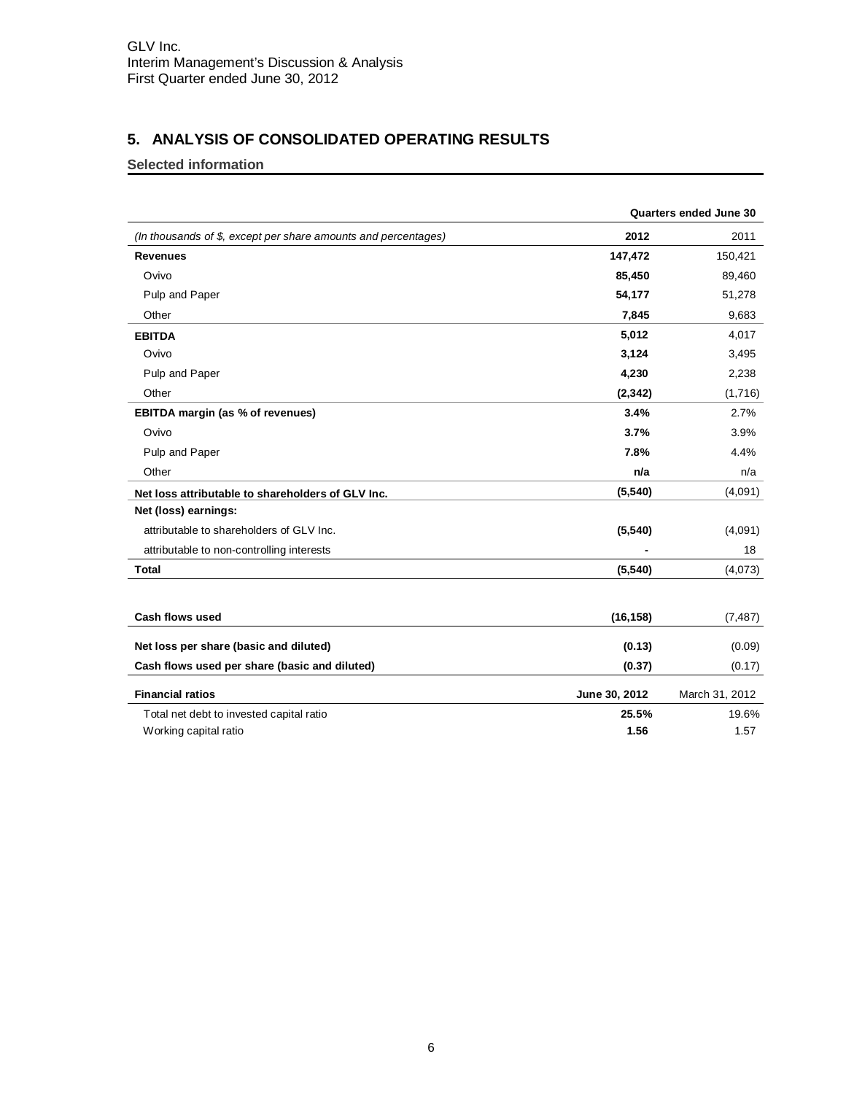# <span id="page-5-0"></span>**5. ANALYSIS OF CONSOLIDATED OPERATING RESULTS**

# **Selected information**

|                                                                |               | Quarters ended June 30 |
|----------------------------------------------------------------|---------------|------------------------|
| (In thousands of \$, except per share amounts and percentages) | 2012          | 2011                   |
| <b>Revenues</b>                                                | 147,472       | 150,421                |
| Ovivo                                                          | 85,450        | 89,460                 |
| Pulp and Paper                                                 | 54,177        | 51,278                 |
| Other                                                          | 7,845         | 9,683                  |
| <b>EBITDA</b>                                                  | 5,012         | 4,017                  |
| Ovivo                                                          | 3,124         | 3,495                  |
| Pulp and Paper                                                 | 4,230         | 2,238                  |
| Other                                                          | (2, 342)      | (1,716)                |
| EBITDA margin (as % of revenues)                               | 3.4%          | 2.7%                   |
| Ovivo                                                          | 3.7%          | 3.9%                   |
| Pulp and Paper                                                 | 7.8%          | 4.4%                   |
| Other                                                          | n/a           | n/a                    |
| Net loss attributable to shareholders of GLV Inc.              | (5, 540)      | (4,091)                |
| Net (loss) earnings:                                           |               |                        |
| attributable to shareholders of GLV Inc.                       | (5, 540)      | (4,091)                |
| attributable to non-controlling interests                      |               | 18                     |
| Total                                                          | (5, 540)      | (4,073)                |
|                                                                |               |                        |
| <b>Cash flows used</b>                                         | (16, 158)     | (7, 487)               |
| Net loss per share (basic and diluted)                         | (0.13)        | (0.09)                 |
| Cash flows used per share (basic and diluted)                  | (0.37)        | (0.17)                 |
| <b>Financial ratios</b>                                        | June 30, 2012 | March 31, 2012         |
| Total net debt to invested capital ratio                       | 25.5%         | 19.6%                  |
| Working capital ratio                                          | 1.56          | 1.57                   |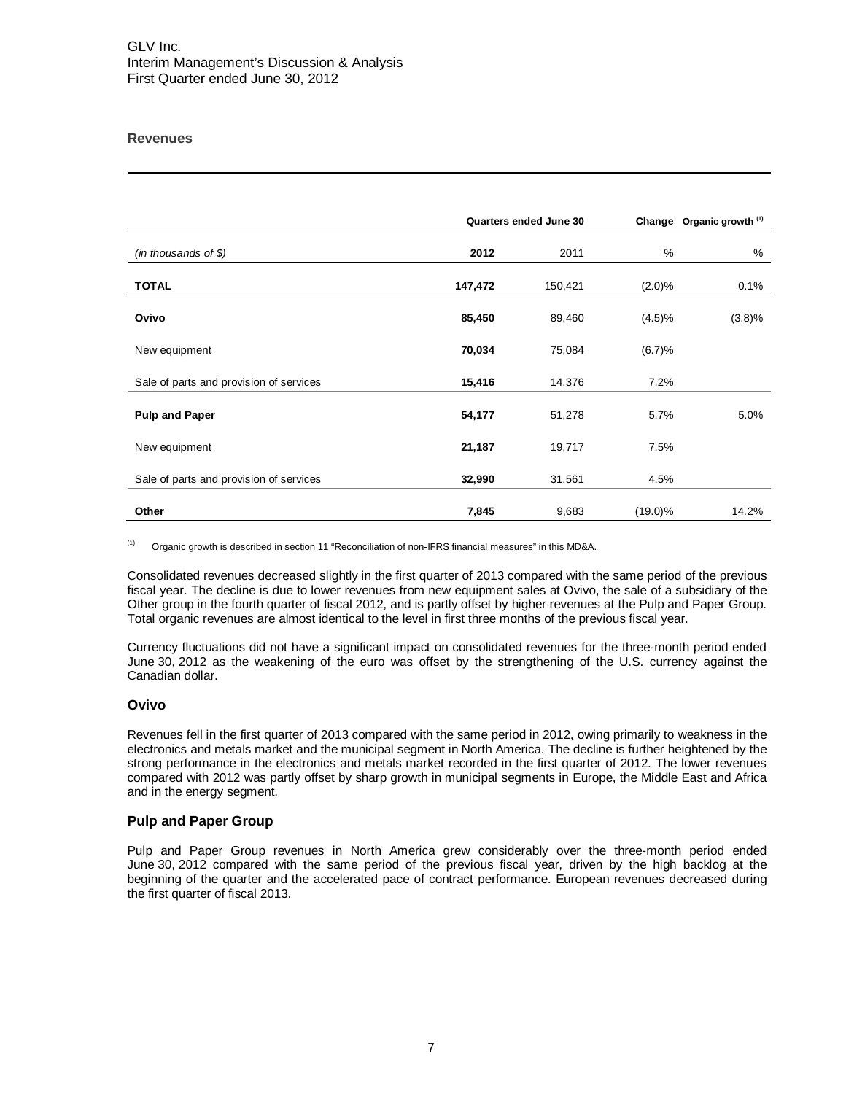# **Revenues**

|                                         |         | Quarters ended June 30 |               | Change Organic growth (1) |
|-----------------------------------------|---------|------------------------|---------------|---------------------------|
| (in thousands of $$$ )                  | 2012    | 2011                   | $\frac{0}{0}$ | %                         |
| <b>TOTAL</b>                            | 147,472 | 150,421                | (2.0)%        | 0.1%                      |
| Ovivo                                   | 85,450  | 89,460                 | (4.5)%        | (3.8)%                    |
| New equipment                           | 70,034  | 75,084                 | (6.7)%        |                           |
| Sale of parts and provision of services | 15,416  | 14,376                 | 7.2%          |                           |
| <b>Pulp and Paper</b>                   | 54,177  | 51,278                 | 5.7%          | 5.0%                      |
| New equipment                           | 21,187  | 19,717                 | 7.5%          |                           |
| Sale of parts and provision of services | 32,990  | 31,561                 | 4.5%          |                           |
| Other                                   | 7,845   | 9,683                  | $(19.0)\%$    | 14.2%                     |

(1) Organic growth is described in section 11 "Reconciliation of non-IFRS financial measures" in this MD&A.

Consolidated revenues decreased slightly in the first quarter of 2013 compared with the same period of the previous fiscal year. The decline is due to lower revenues from new equipment sales at Ovivo, the sale of a subsidiary of the Other group in the fourth quarter of fiscal 2012, and is partly offset by higher revenues at the Pulp and Paper Group. Total organic revenues are almost identical to the level in first three months of the previous fiscal year.

Currency fluctuations did not have a significant impact on consolidated revenues for the three-month period ended June 30, 2012 as the weakening of the euro was offset by the strengthening of the U.S. currency against the Canadian dollar.

#### **Ovivo**

Revenues fell in the first quarter of 2013 compared with the same period in 2012, owing primarily to weakness in the electronics and metals market and the municipal segment in North America. The decline is further heightened by the strong performance in the electronics and metals market recorded in the first quarter of 2012. The lower revenues compared with 2012 was partly offset by sharp growth in municipal segments in Europe, the Middle East and Africa and in the energy segment.

#### **Pulp and Paper Group**

Pulp and Paper Group revenues in North America grew considerably over the three-month period ended June 30, 2012 compared with the same period of the previous fiscal year, driven by the high backlog at the beginning of the quarter and the accelerated pace of contract performance. European revenues decreased during the first quarter of fiscal 2013.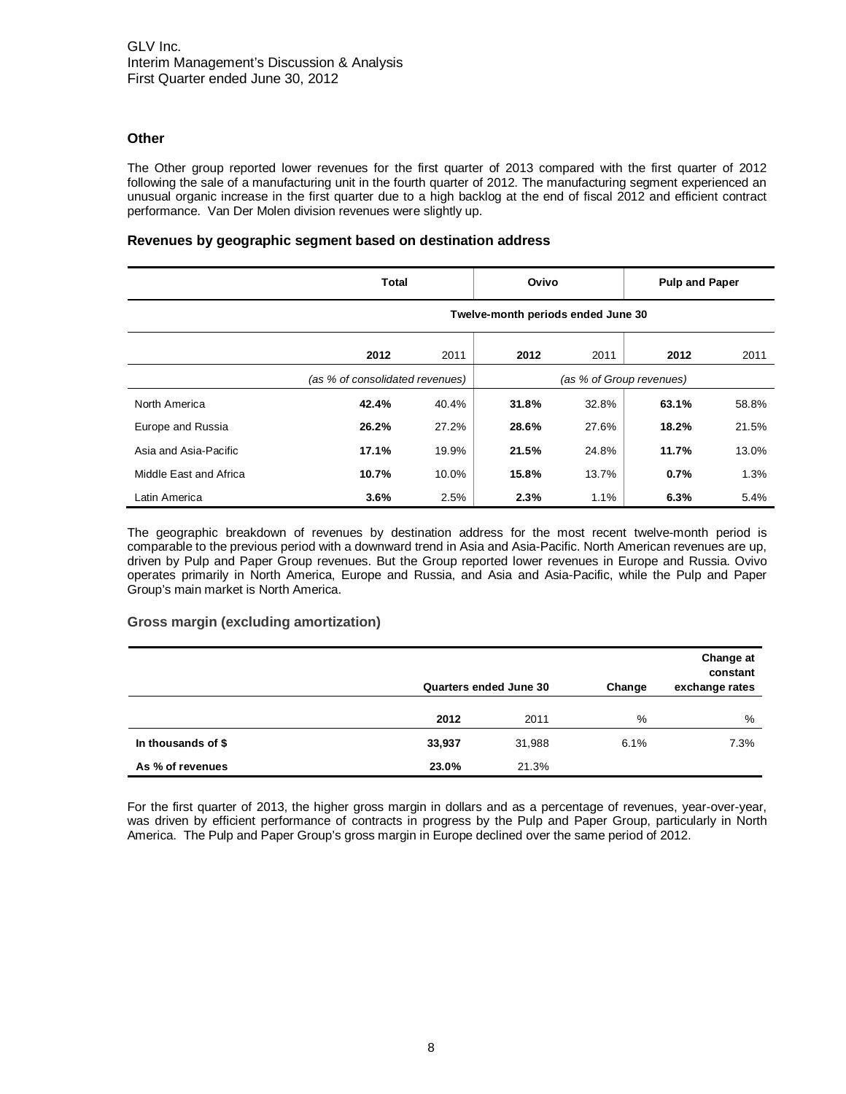# **Other**

The Other group reported lower revenues for the first quarter of 2013 compared with the first quarter of 2012 following the sale of a manufacturing unit in the fourth quarter of 2012. The manufacturing segment experienced an unusual organic increase in the first quarter due to a high backlog at the end of fiscal 2012 and efficient contract performance. Van Der Molen division revenues were slightly up.

# **Revenues by geographic segment based on destination address**

|                        | Total                              |       | Ovivo |       | <b>Pulp and Paper</b>    |       |
|------------------------|------------------------------------|-------|-------|-------|--------------------------|-------|
|                        | Twelve-month periods ended June 30 |       |       |       |                          |       |
|                        | 2012                               | 2011  | 2012  | 2011  | 2012                     | 2011  |
|                        | (as % of consolidated revenues)    |       |       |       | (as % of Group revenues) |       |
| North America          | 42.4%                              | 40.4% | 31.8% | 32.8% | 63.1%                    | 58.8% |
| Europe and Russia      | 26.2%                              | 27.2% | 28.6% | 27.6% | 18.2%                    | 21.5% |
| Asia and Asia-Pacific  | 17.1%                              | 19.9% | 21.5% | 24.8% | 11.7%                    | 13.0% |
| Middle East and Africa | 10.7%                              | 10.0% | 15.8% | 13.7% | 0.7%                     | 1.3%  |
| Latin America          | 3.6%                               | 2.5%  | 2.3%  | 1.1%  | 6.3%                     | 5.4%  |

The geographic breakdown of revenues by destination address for the most recent twelve-month period is comparable to the previous period with a downward trend in Asia and Asia-Pacific. North American revenues are up, driven by Pulp and Paper Group revenues. But the Group reported lower revenues in Europe and Russia. Ovivo operates primarily in North America, Europe and Russia, and Asia and Asia-Pacific, while the Pulp and Paper Group's main market is North America.

# **Gross margin (excluding amortization)**

|                    | Quarters ended June 30 |        | Change | Change at<br>constant<br>exchange rates |
|--------------------|------------------------|--------|--------|-----------------------------------------|
|                    | 2012                   | 2011   | %      | %                                       |
| In thousands of \$ | 33,937                 | 31,988 | 6.1%   | 7.3%                                    |
| As % of revenues   | 23.0%                  | 21.3%  |        |                                         |

For the first quarter of 2013, the higher gross margin in dollars and as a percentage of revenues, year-over-year, was driven by efficient performance of contracts in progress by the Pulp and Paper Group, particularly in North America. The Pulp and Paper Group's gross margin in Europe declined over the same period of 2012.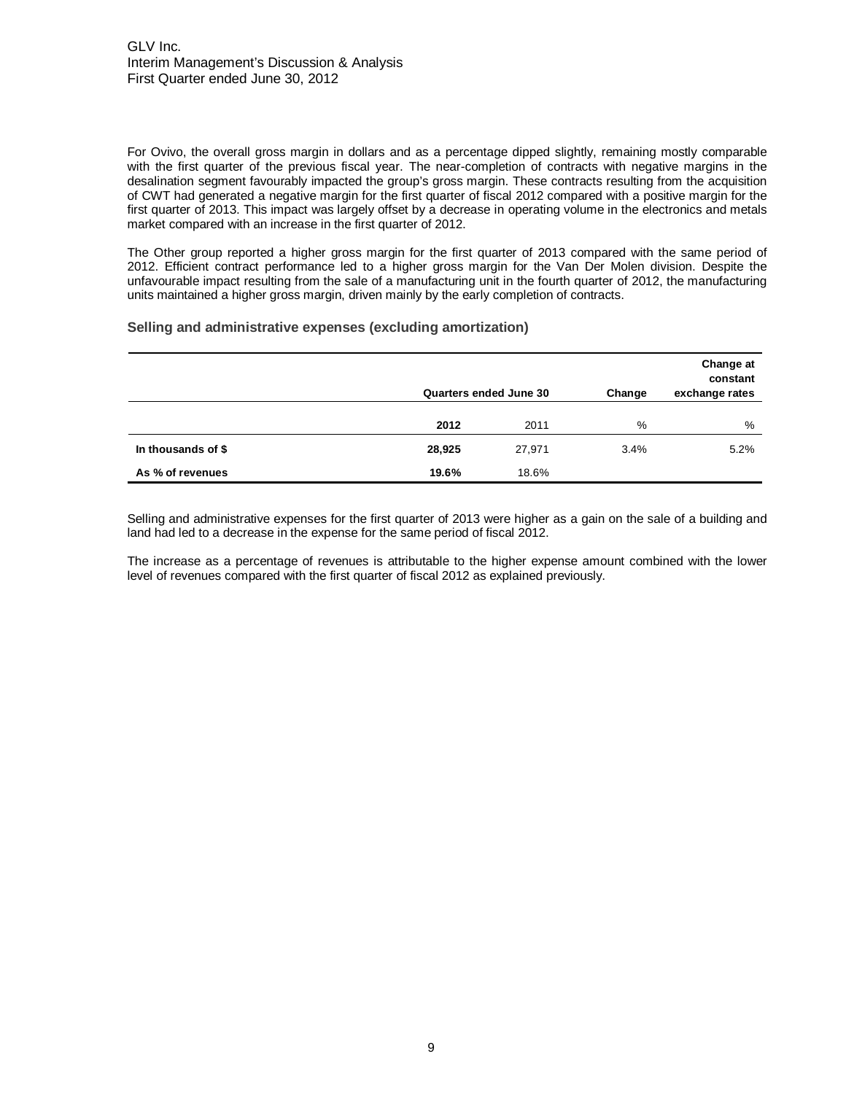For Ovivo, the overall gross margin in dollars and as a percentage dipped slightly, remaining mostly comparable with the first quarter of the previous fiscal year. The near-completion of contracts with negative margins in the desalination segment favourably impacted the group's gross margin. These contracts resulting from the acquisition of CWT had generated a negative margin for the first quarter of fiscal 2012 compared with a positive margin for the first quarter of 2013. This impact was largely offset by a decrease in operating volume in the electronics and metals market compared with an increase in the first quarter of 2012.

The Other group reported a higher gross margin for the first quarter of 2013 compared with the same period of 2012. Efficient contract performance led to a higher gross margin for the Van Der Molen division. Despite the unfavourable impact resulting from the sale of a manufacturing unit in the fourth quarter of 2012, the manufacturing units maintained a higher gross margin, driven mainly by the early completion of contracts.

#### **Selling and administrative expenses (excluding amortization)**

|                    | Quarters ended June 30 |        | Change | Change at<br>constant<br>exchange rates |
|--------------------|------------------------|--------|--------|-----------------------------------------|
|                    | 2012                   | 2011   | %      | %                                       |
| In thousands of \$ | 28,925                 | 27,971 | 3.4%   | 5.2%                                    |
| As % of revenues   | 19.6%                  | 18.6%  |        |                                         |

Selling and administrative expenses for the first quarter of 2013 were higher as a gain on the sale of a building and land had led to a decrease in the expense for the same period of fiscal 2012.

The increase as a percentage of revenues is attributable to the higher expense amount combined with the lower level of revenues compared with the first quarter of fiscal 2012 as explained previously.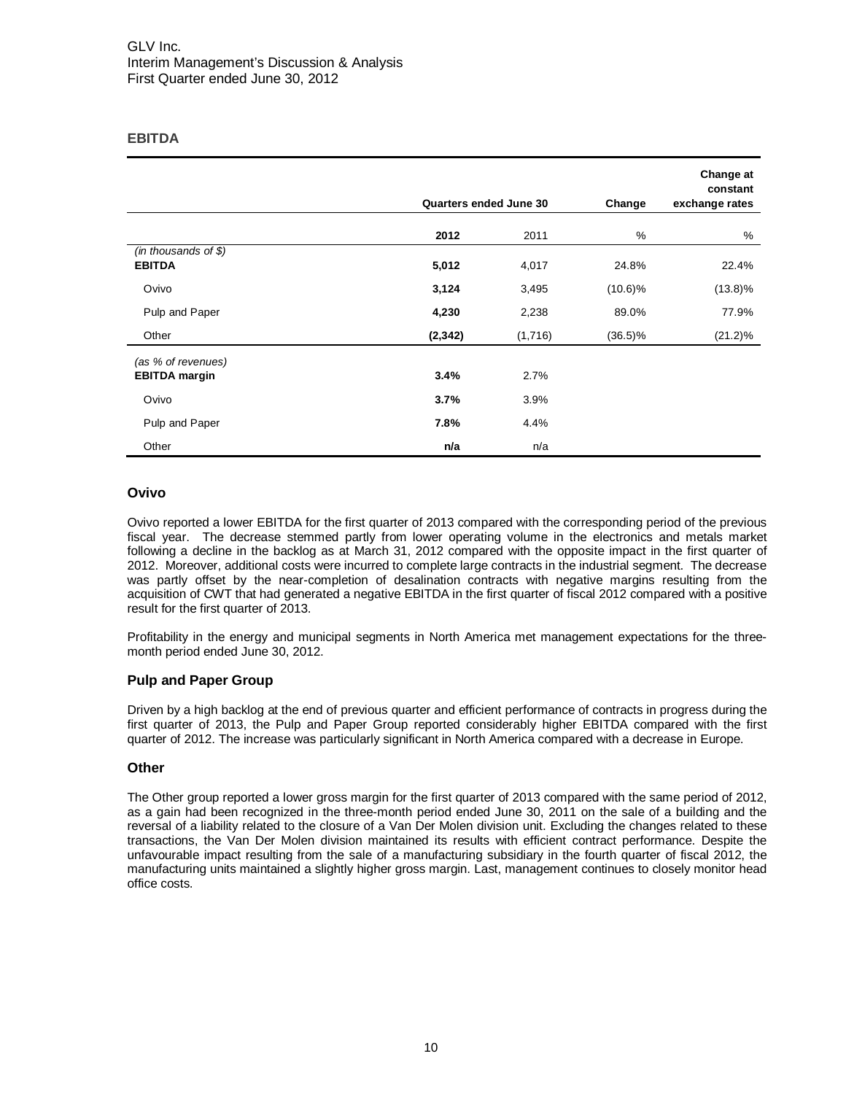# **EBITDA**

|                                            | Quarters ended June 30 |         | Change     | Change at<br>constant<br>exchange rates |
|--------------------------------------------|------------------------|---------|------------|-----------------------------------------|
|                                            | 2012                   | 2011    | %          | %                                       |
| $(in$ thousands of \$)<br><b>EBITDA</b>    | 5,012                  | 4,017   | 24.8%      | 22.4%                                   |
| Ovivo                                      | 3,124                  | 3,495   | $(10.6)\%$ | $(13.8)\%$                              |
| Pulp and Paper                             | 4,230                  | 2,238   | 89.0%      | 77.9%                                   |
| Other                                      | (2, 342)               | (1,716) | $(36.5)\%$ | $(21.2)\%$                              |
| (as % of revenues)<br><b>EBITDA</b> margin | 3.4%                   | 2.7%    |            |                                         |
| Ovivo                                      | 3.7%                   | 3.9%    |            |                                         |
| Pulp and Paper                             | 7.8%                   | 4.4%    |            |                                         |
| Other                                      | n/a                    | n/a     |            |                                         |

# **Ovivo**

Ovivo reported a lower EBITDA for the first quarter of 2013 compared with the corresponding period of the previous fiscal year. The decrease stemmed partly from lower operating volume in the electronics and metals market following a decline in the backlog as at March 31, 2012 compared with the opposite impact in the first quarter of 2012. Moreover, additional costs were incurred to complete large contracts in the industrial segment. The decrease was partly offset by the near-completion of desalination contracts with negative margins resulting from the acquisition of CWT that had generated a negative EBITDA in the first quarter of fiscal 2012 compared with a positive result for the first quarter of 2013.

Profitability in the energy and municipal segments in North America met management expectations for the threemonth period ended June 30, 2012.

# **Pulp and Paper Group**

Driven by a high backlog at the end of previous quarter and efficient performance of contracts in progress during the first quarter of 2013, the Pulp and Paper Group reported considerably higher EBITDA compared with the first quarter of 2012. The increase was particularly significant in North America compared with a decrease in Europe.

# **Other**

The Other group reported a lower gross margin for the first quarter of 2013 compared with the same period of 2012, as a gain had been recognized in the three-month period ended June 30, 2011 on the sale of a building and the reversal of a liability related to the closure of a Van Der Molen division unit. Excluding the changes related to these transactions, the Van Der Molen division maintained its results with efficient contract performance. Despite the unfavourable impact resulting from the sale of a manufacturing subsidiary in the fourth quarter of fiscal 2012, the manufacturing units maintained a slightly higher gross margin. Last, management continues to closely monitor head office costs.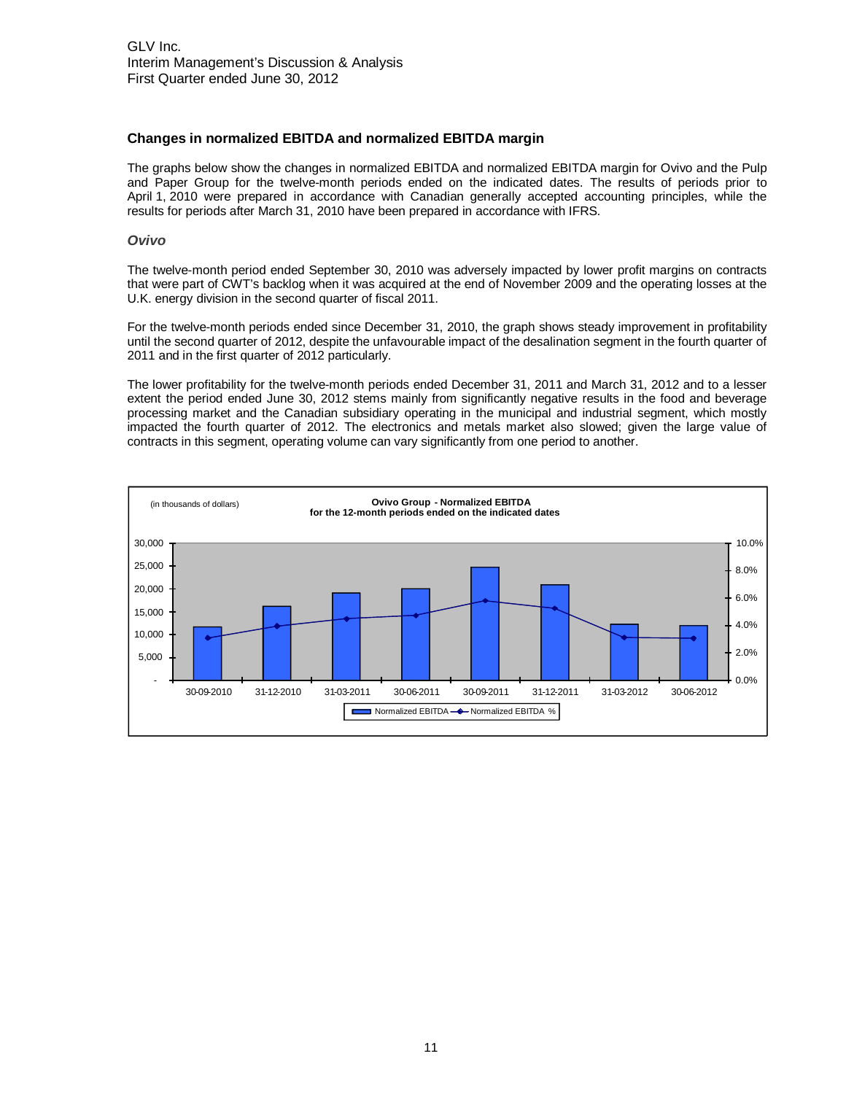## **Changes in normalized EBITDA and normalized EBITDA margin**

The graphs below show the changes in normalized EBITDA and normalized EBITDA margin for Ovivo and the Pulp and Paper Group for the twelve-month periods ended on the indicated dates. The results of periods prior to April 1, 2010 were prepared in accordance with Canadian generally accepted accounting principles, while the results for periods after March 31, 2010 have been prepared in accordance with IFRS.

#### **Ovivo**

The twelve-month period ended September 30, 2010 was adversely impacted by lower profit margins on contracts that were part of CWT's backlog when it was acquired at the end of November 2009 and the operating losses at the U.K. energy division in the second quarter of fiscal 2011.

For the twelve-month periods ended since December 31, 2010, the graph shows steady improvement in profitability until the second quarter of 2012, despite the unfavourable impact of the desalination segment in the fourth quarter of 2011 and in the first quarter of 2012 particularly.

The lower profitability for the twelve-month periods ended December 31, 2011 and March 31, 2012 and to a lesser extent the period ended June 30, 2012 stems mainly from significantly negative results in the food and beverage processing market and the Canadian subsidiary operating in the municipal and industrial segment, which mostly impacted the fourth quarter of 2012. The electronics and metals market also slowed; given the large value of contracts in this segment, operating volume can vary significantly from one period to another.

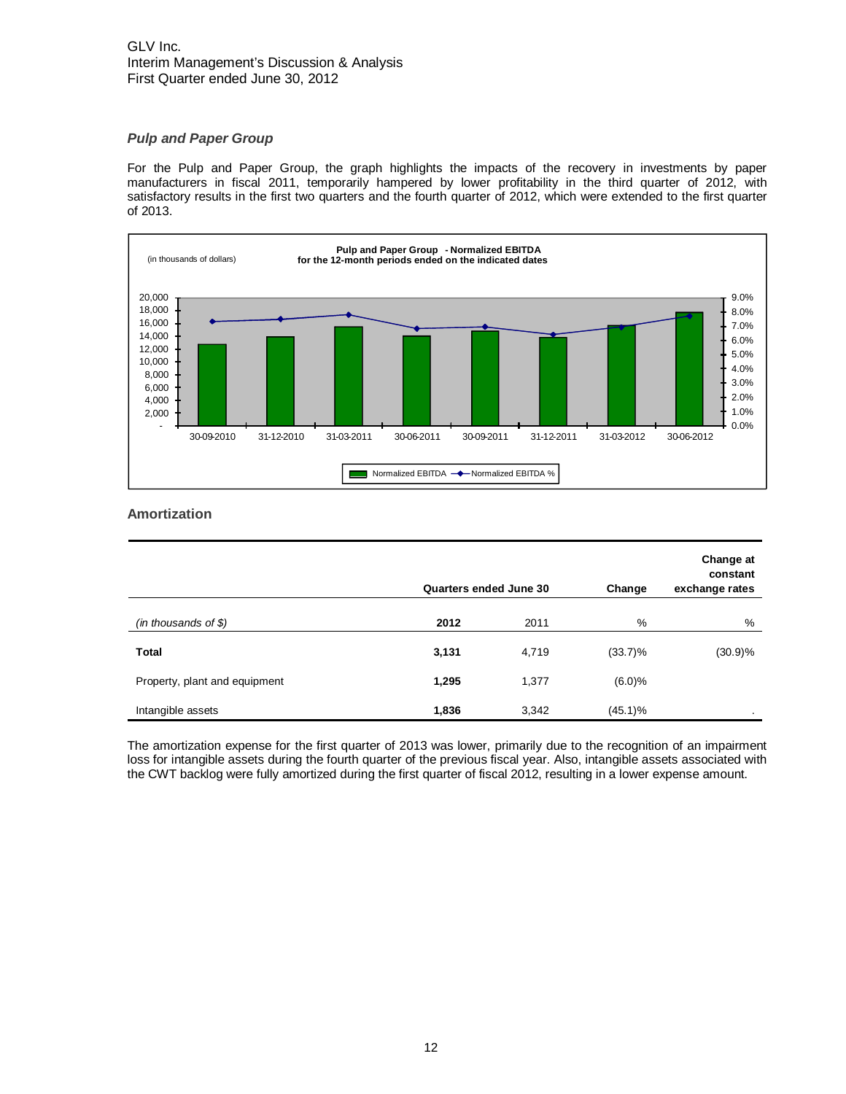# GLV Inc. Interim Management's Discussion & Analysis First Quarter ended June 30, 2012

# **Pulp and Paper Group**

For the Pulp and Paper Group, the graph highlights the impacts of the recovery in investments by paper manufacturers in fiscal 2011, temporarily hampered by lower profitability in the third quarter of 2012, with satisfactory results in the first two quarters and the fourth quarter of 2012, which were extended to the first quarter of 2013.



# **Amortization**

|                               | Quarters ended June 30 |       | Change     | Change at<br>constant<br>exchange rates |
|-------------------------------|------------------------|-------|------------|-----------------------------------------|
| (in thousands of $$$ )        | 2012                   | 2011  | %          | %                                       |
| <b>Total</b>                  | 3,131                  | 4,719 | $(33.7)\%$ | $(30.9)\%$                              |
| Property, plant and equipment | 1,295                  | 1,377 | (6.0)%     |                                         |
| Intangible assets             | 1,836                  | 3,342 | $(45.1)\%$ |                                         |

The amortization expense for the first quarter of 2013 was lower, primarily due to the recognition of an impairment loss for intangible assets during the fourth quarter of the previous fiscal year. Also, intangible assets associated with the CWT backlog were fully amortized during the first quarter of fiscal 2012, resulting in a lower expense amount.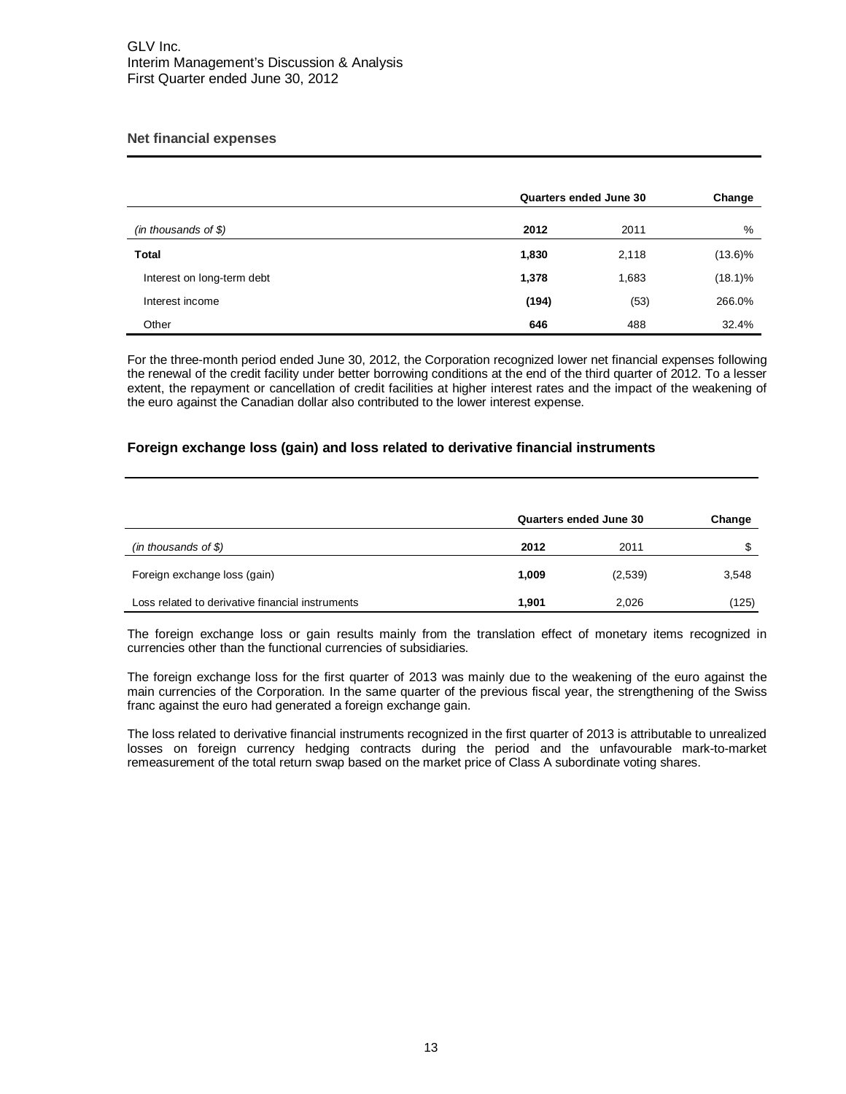# **Net financial expenses**

|                            | Quarters ended June 30 |       | Change     |
|----------------------------|------------------------|-------|------------|
| (in thousands of $$$ )     | 2012                   | 2011  | %          |
| Total                      | 1,830                  | 2,118 | $(13.6)\%$ |
| Interest on long-term debt | 1,378                  | 1,683 | $(18.1)\%$ |
| Interest income            | (194)                  | (53)  | 266.0%     |
| Other                      | 646                    | 488   | 32.4%      |

For the three-month period ended June 30, 2012, the Corporation recognized lower net financial expenses following the renewal of the credit facility under better borrowing conditions at the end of the third quarter of 2012. To a lesser extent, the repayment or cancellation of credit facilities at higher interest rates and the impact of the weakening of the euro against the Canadian dollar also contributed to the lower interest expense.

# **Foreign exchange loss (gain) and loss related to derivative financial instruments**

|                                                  | Quarters ended June 30 |         | Change |
|--------------------------------------------------|------------------------|---------|--------|
| (in thousands of $$)$                            | 2012                   | 2011    |        |
| Foreign exchange loss (gain)                     | 1.009                  | (2,539) | 3,548  |
| Loss related to derivative financial instruments | 1.901                  | 2,026   | (125)  |

The foreign exchange loss or gain results mainly from the translation effect of monetary items recognized in currencies other than the functional currencies of subsidiaries.

The foreign exchange loss for the first quarter of 2013 was mainly due to the weakening of the euro against the main currencies of the Corporation. In the same quarter of the previous fiscal year, the strengthening of the Swiss franc against the euro had generated a foreign exchange gain.

The loss related to derivative financial instruments recognized in the first quarter of 2013 is attributable to unrealized losses on foreign currency hedging contracts during the period and the unfavourable mark-to-market remeasurement of the total return swap based on the market price of Class A subordinate voting shares.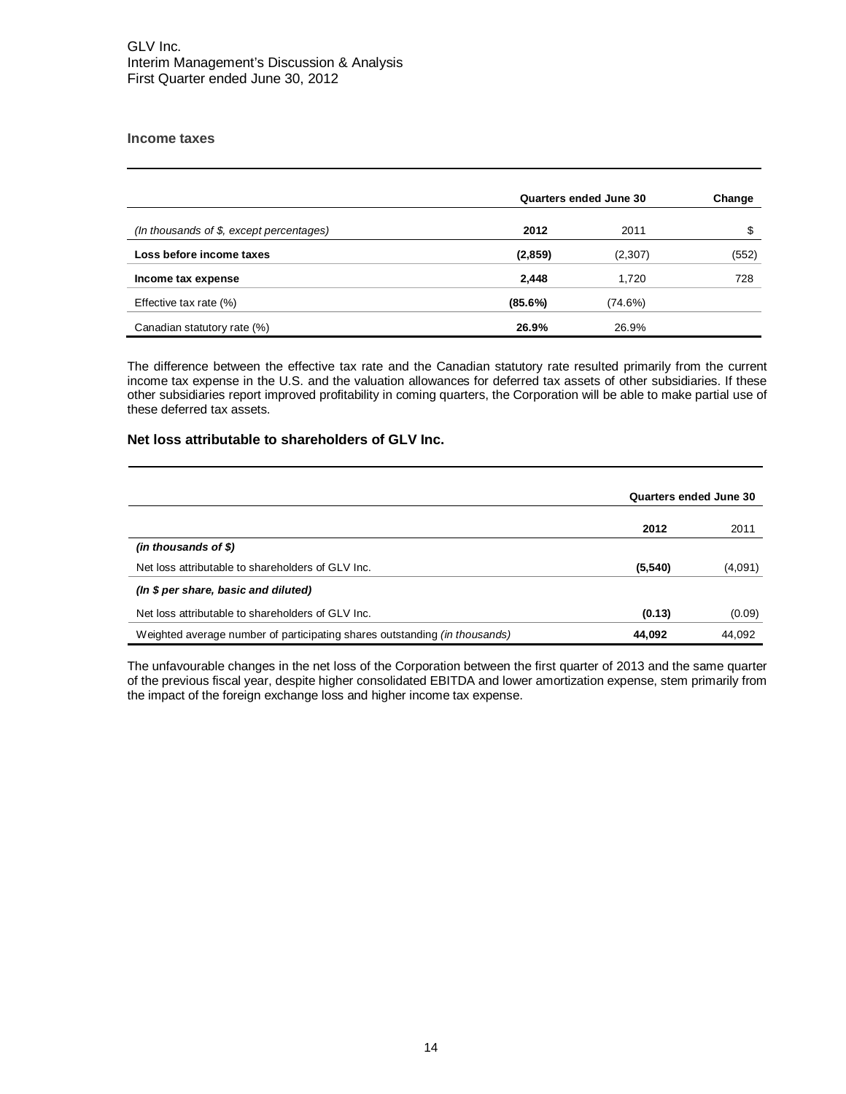## **Income taxes**

|                                            | Quarters ended June 30 | Change  |       |
|--------------------------------------------|------------------------|---------|-------|
| (In thousands of $$$ , except percentages) | 2012                   | 2011    |       |
| Loss before income taxes                   | (2, 859)               | (2,307) | (552) |
| Income tax expense                         | 2,448                  | 1.720   | 728   |
| Effective tax rate (%)                     | (85.6%)                | (74.6%) |       |
| Canadian statutory rate (%)                | 26.9%                  | 26.9%   |       |

The difference between the effective tax rate and the Canadian statutory rate resulted primarily from the current income tax expense in the U.S. and the valuation allowances for deferred tax assets of other subsidiaries. If these other subsidiaries report improved profitability in coming quarters, the Corporation will be able to make partial use of these deferred tax assets.

# **Net loss attributable to shareholders of GLV Inc.**

|                                                                                   | Quarters ended June 30 |         |
|-----------------------------------------------------------------------------------|------------------------|---------|
|                                                                                   | 2012                   | 2011    |
| $(in$ thousands of \$)                                                            |                        |         |
| Net loss attributable to shareholders of GLV Inc.                                 | (5, 540)               | (4,091) |
| (In \$ per share, basic and diluted)                                              |                        |         |
| Net loss attributable to shareholders of GLV Inc.                                 | (0.13)                 | (0.09)  |
| Weighted average number of participating shares outstanding <i>(in thousands)</i> | 44.092                 | 44,092  |

The unfavourable changes in the net loss of the Corporation between the first quarter of 2013 and the same quarter of the previous fiscal year, despite higher consolidated EBITDA and lower amortization expense, stem primarily from the impact of the foreign exchange loss and higher income tax expense.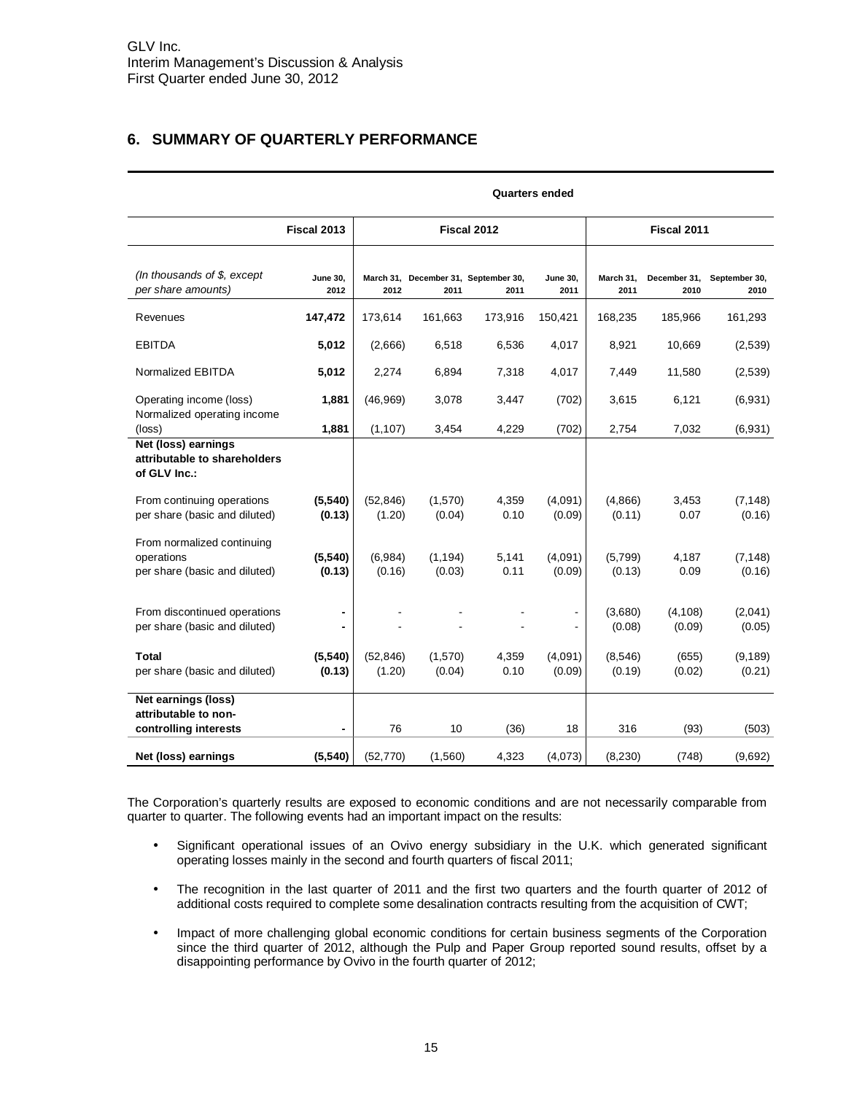# <span id="page-14-0"></span>**6. SUMMARY OF QUARTERLY PERFORMANCE**

|                                                                           |                         | Quarters ended      |                    |                                              |                         |                   |                      |                       |
|---------------------------------------------------------------------------|-------------------------|---------------------|--------------------|----------------------------------------------|-------------------------|-------------------|----------------------|-----------------------|
|                                                                           | Fiscal 2013             | Fiscal 2012         |                    |                                              |                         |                   | Fiscal 2011          |                       |
| (In thousands of $$$ , except<br>per share amounts)                       | <b>June 30,</b><br>2012 | 2012                | 2011               | March 31, December 31, September 30,<br>2011 | <b>June 30,</b><br>2011 | March 31,<br>2011 | December 31,<br>2010 | September 30,<br>2010 |
| Revenues                                                                  | 147,472                 | 173,614             | 161,663            | 173,916                                      | 150,421                 | 168,235           | 185,966              | 161,293               |
| <b>EBITDA</b>                                                             | 5,012                   | (2,666)             | 6,518              | 6,536                                        | 4,017                   | 8,921             | 10,669               | (2,539)               |
| Normalized EBITDA                                                         | 5,012                   | 2.274               | 6,894              | 7,318                                        | 4,017                   | 7,449             | 11,580               | (2,539)               |
| Operating income (loss)                                                   | 1,881                   | (46, 969)           | 3,078              | 3,447                                        | (702)                   | 3,615             | 6,121                | (6,931)               |
| Normalized operating income<br>(loss)                                     | 1,881                   | (1, 107)            | 3,454              | 4,229                                        | (702)                   | 2,754             | 7,032                | (6,931)               |
| Net (loss) earnings<br>attributable to shareholders<br>of GLV Inc.:       |                         |                     |                    |                                              |                         |                   |                      |                       |
| From continuing operations<br>per share (basic and diluted)               | (5,540)<br>(0.13)       | (52, 846)<br>(1.20) | (1,570)<br>(0.04)  | 4,359<br>0.10                                | (4,091)<br>(0.09)       | (4,866)<br>(0.11) | 3,453<br>0.07        | (7, 148)<br>(0.16)    |
| From normalized continuing<br>operations<br>per share (basic and diluted) | (5, 540)<br>(0.13)      | (6,984)<br>(0.16)   | (1, 194)<br>(0.03) | 5,141<br>0.11                                | (4,091)<br>(0.09)       | (5,799)<br>(0.13) | 4,187<br>0.09        | (7, 148)<br>(0.16)    |
| From discontinued operations<br>per share (basic and diluted)             |                         |                     |                    |                                              |                         | (3,680)<br>(0.08) | (4, 108)<br>(0.09)   | (2,041)<br>(0.05)     |
| <b>Total</b><br>per share (basic and diluted)                             | (5,540)<br>(0.13)       | (52, 846)<br>(1.20) | (1,570)<br>(0.04)  | 4,359<br>0.10                                | (4,091)<br>(0.09)       | (8,546)<br>(0.19) | (655)<br>(0.02)      | (9, 189)<br>(0.21)    |
| Net earnings (loss)<br>attributable to non-<br>controlling interests      |                         | 76                  | 10                 | (36)                                         | 18                      | 316               | (93)                 | (503)                 |
| Net (loss) earnings                                                       | (5,540)                 | (52, 770)           | (1,560)            | 4,323                                        | (4,073)                 | (8,230)           | (748)                | (9,692)               |

**Quarters ended** 

The Corporation's quarterly results are exposed to economic conditions and are not necessarily comparable from quarter to quarter. The following events had an important impact on the results:

- Significant operational issues of an Ovivo energy subsidiary in the U.K. which generated significant operating losses mainly in the second and fourth quarters of fiscal 2011;
- The recognition in the last quarter of 2011 and the first two quarters and the fourth quarter of 2012 of additional costs required to complete some desalination contracts resulting from the acquisition of CWT;
- Impact of more challenging global economic conditions for certain business segments of the Corporation since the third quarter of 2012, although the Pulp and Paper Group reported sound results, offset by a disappointing performance by Ovivo in the fourth quarter of 2012;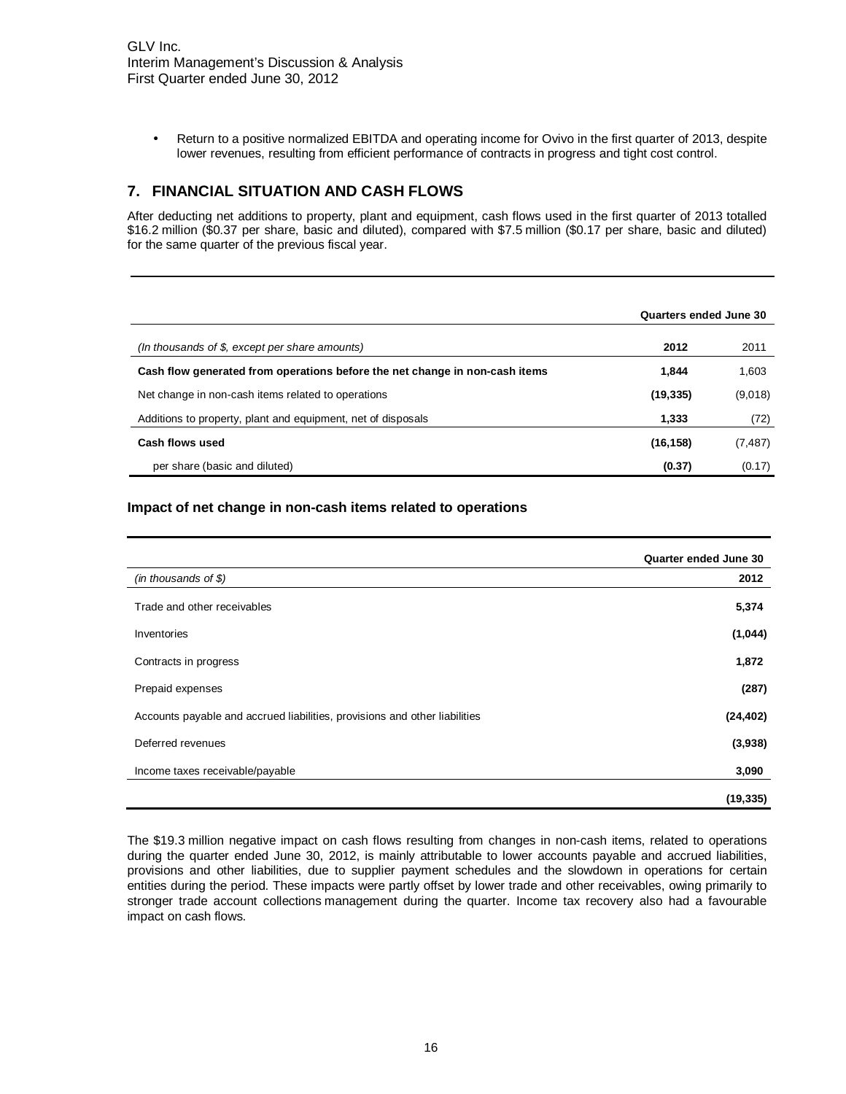<span id="page-15-0"></span>• Return to a positive normalized EBITDA and operating income for Ovivo in the first quarter of 2013, despite lower revenues, resulting from efficient performance of contracts in progress and tight cost control.

# **7. FINANCIAL SITUATION AND CASH FLOWS**

After deducting net additions to property, plant and equipment, cash flows used in the first quarter of 2013 totalled \$16.2 million (\$0.37 per share, basic and diluted), compared with \$7.5 million (\$0.17 per share, basic and diluted) for the same quarter of the previous fiscal year.

|                                                                             | Quarters ended June 30 |          |
|-----------------------------------------------------------------------------|------------------------|----------|
| (In thousands of \$, except per share amounts)                              | 2012                   | 2011     |
| Cash flow generated from operations before the net change in non-cash items | 1.844                  | 1,603    |
| Net change in non-cash items related to operations                          | (19, 335)              | (9,018)  |
| Additions to property, plant and equipment, net of disposals                | 1.333                  | (72)     |
| Cash flows used                                                             | (16, 158)              | (7, 487) |
| per share (basic and diluted)                                               | (0.37)                 | (0.17)   |

# **Impact of net change in non-cash items related to operations**

|                                                                            | Quarter ended June 30 |
|----------------------------------------------------------------------------|-----------------------|
| (in thousands of $$$ )                                                     | 2012                  |
| Trade and other receivables                                                | 5,374                 |
| Inventories                                                                | (1,044)               |
| Contracts in progress                                                      | 1,872                 |
| Prepaid expenses                                                           | (287)                 |
| Accounts payable and accrued liabilities, provisions and other liabilities | (24, 402)             |
| Deferred revenues                                                          | (3,938)               |
| Income taxes receivable/payable                                            | 3,090                 |
|                                                                            | (19, 335)             |

The \$19.3 million negative impact on cash flows resulting from changes in non-cash items, related to operations during the quarter ended June 30, 2012, is mainly attributable to lower accounts payable and accrued liabilities, provisions and other liabilities, due to supplier payment schedules and the slowdown in operations for certain entities during the period. These impacts were partly offset by lower trade and other receivables, owing primarily to stronger trade account collections management during the quarter. Income tax recovery also had a favourable impact on cash flows.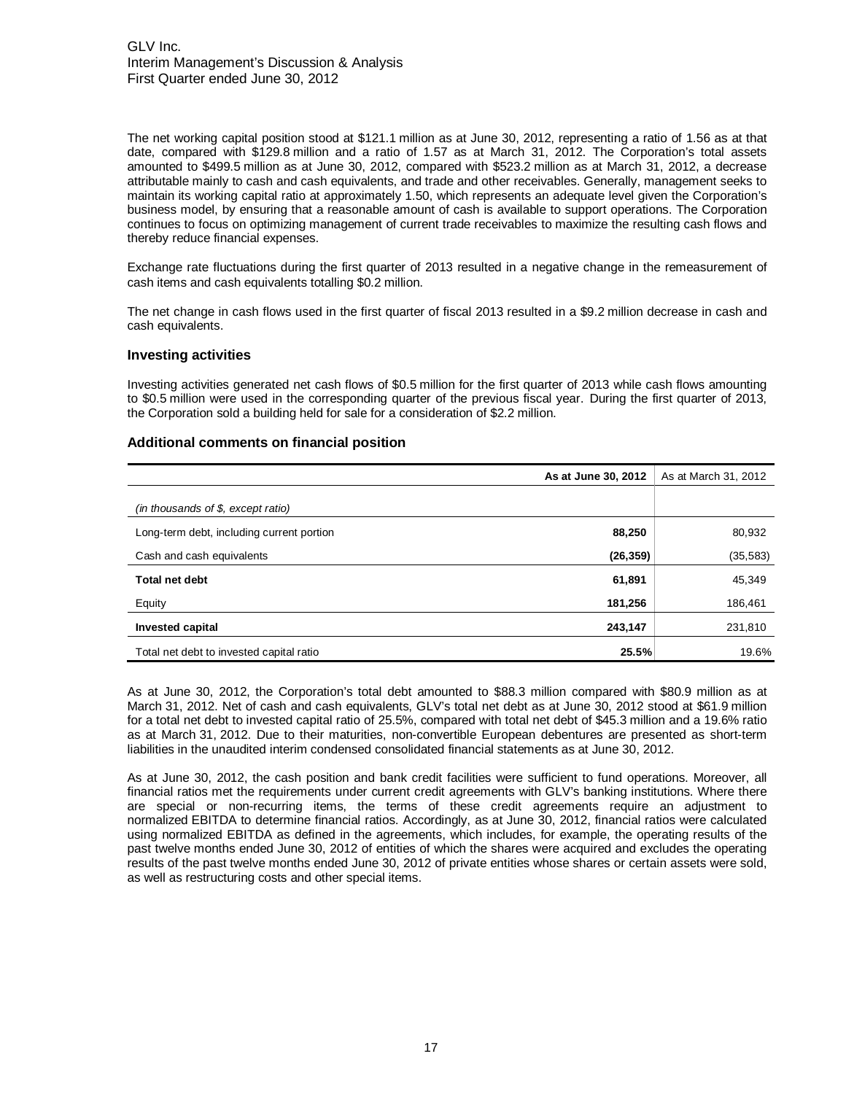The net working capital position stood at \$121.1 million as at June 30, 2012, representing a ratio of 1.56 as at that date, compared with \$129.8 million and a ratio of 1.57 as at March 31, 2012. The Corporation's total assets amounted to \$499.5 million as at June 30, 2012, compared with \$523.2 million as at March 31, 2012, a decrease attributable mainly to cash and cash equivalents, and trade and other receivables. Generally, management seeks to maintain its working capital ratio at approximately 1.50, which represents an adequate level given the Corporation's business model, by ensuring that a reasonable amount of cash is available to support operations. The Corporation continues to focus on optimizing management of current trade receivables to maximize the resulting cash flows and thereby reduce financial expenses.

Exchange rate fluctuations during the first quarter of 2013 resulted in a negative change in the remeasurement of cash items and cash equivalents totalling \$0.2 million.

The net change in cash flows used in the first quarter of fiscal 2013 resulted in a \$9.2 million decrease in cash and cash equivalents.

#### **Investing activities**

Investing activities generated net cash flows of \$0.5 million for the first quarter of 2013 while cash flows amounting to \$0.5 million were used in the corresponding quarter of the previous fiscal year. During the first quarter of 2013, the Corporation sold a building held for sale for a consideration of \$2.2 million.

#### **Additional comments on financial position**

|                                           | As at June 30, 2012 | As at March 31, 2012 |
|-------------------------------------------|---------------------|----------------------|
| (in thousands of $$$ , except ratio)      |                     |                      |
| Long-term debt, including current portion | 88,250              | 80,932               |
| Cash and cash equivalents                 | (26, 359)           | (35, 583)            |
| <b>Total net debt</b>                     | 61,891              | 45,349               |
| Equity                                    | 181,256             | 186,461              |
| Invested capital                          | 243,147             | 231,810              |
| Total net debt to invested capital ratio  | 25.5%               | 19.6%                |

As at June 30, 2012, the Corporation's total debt amounted to \$88.3 million compared with \$80.9 million as at March 31, 2012. Net of cash and cash equivalents, GLV's total net debt as at June 30, 2012 stood at \$61.9 million for a total net debt to invested capital ratio of 25.5%, compared with total net debt of \$45.3 million and a 19.6% ratio as at March 31, 2012. Due to their maturities, non-convertible European debentures are presented as short-term liabilities in the unaudited interim condensed consolidated financial statements as at June 30, 2012.

As at June 30, 2012, the cash position and bank credit facilities were sufficient to fund operations. Moreover, all financial ratios met the requirements under current credit agreements with GLV's banking institutions. Where there are special or non-recurring items, the terms of these credit agreements require an adjustment to normalized EBITDA to determine financial ratios. Accordingly, as at June 30, 2012, financial ratios were calculated using normalized EBITDA as defined in the agreements, which includes, for example, the operating results of the past twelve months ended June 30, 2012 of entities of which the shares were acquired and excludes the operating results of the past twelve months ended June 30, 2012 of private entities whose shares or certain assets were sold, as well as restructuring costs and other special items.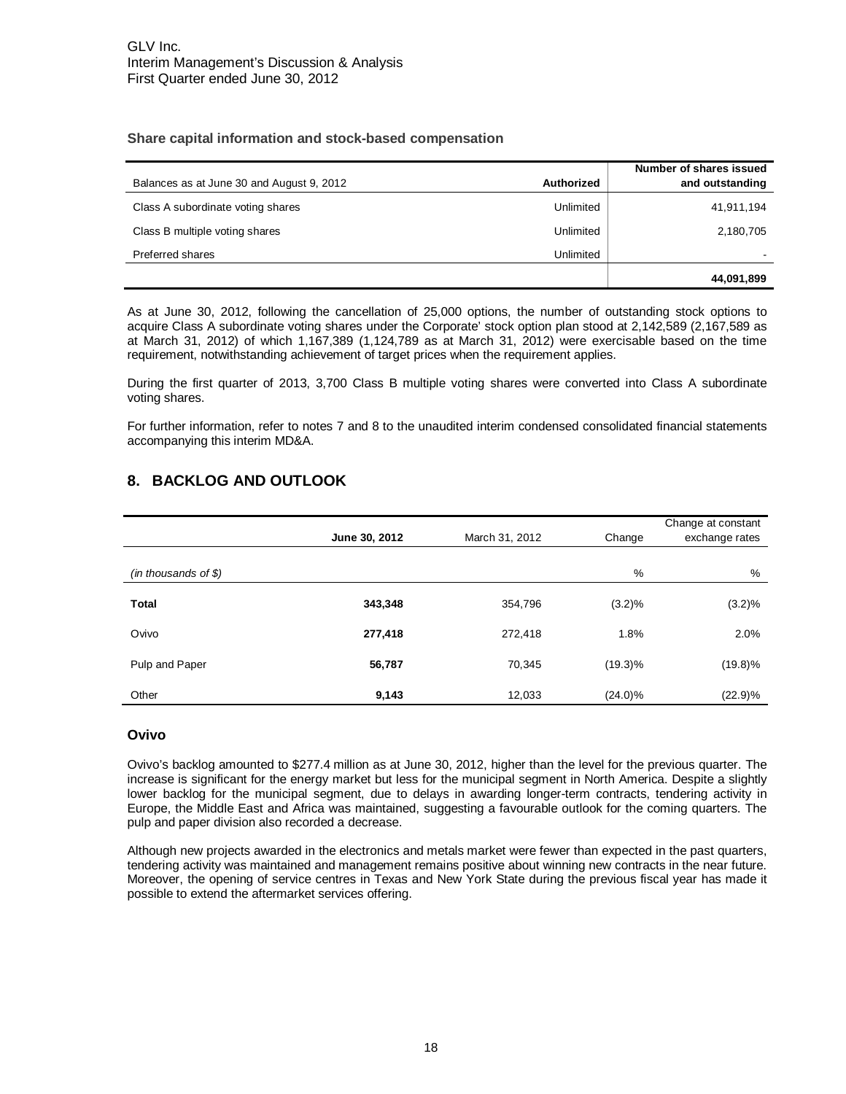## <span id="page-17-0"></span>**Share capital information and stock-based compensation**

| Balances as at June 30 and August 9, 2012 | Authorized | Number of shares issued<br>and outstanding |
|-------------------------------------------|------------|--------------------------------------------|
|                                           |            |                                            |
| Class A subordinate voting shares         | Unlimited  | 41,911,194                                 |
| Class B multiple voting shares            | Unlimited  | 2,180,705                                  |
| Preferred shares                          | Unlimited  |                                            |
|                                           |            | 44,091,899                                 |

As at June 30, 2012, following the cancellation of 25,000 options, the number of outstanding stock options to acquire Class A subordinate voting shares under the Corporate' stock option plan stood at 2,142,589 (2,167,589 as at March 31, 2012) of which 1,167,389 (1,124,789 as at March 31, 2012) were exercisable based on the time requirement, notwithstanding achievement of target prices when the requirement applies.

During the first quarter of 2013, 3,700 Class B multiple voting shares were converted into Class A subordinate voting shares.

For further information, refer to notes 7 and 8 to the unaudited interim condensed consolidated financial statements accompanying this interim MD&A.

# **8. BACKLOG AND OUTLOOK**

|                        | June 30, 2012 | March 31, 2012 | Change     | Change at constant<br>exchange rates |
|------------------------|---------------|----------------|------------|--------------------------------------|
| $(in$ thousands of \$) |               |                | %          | %                                    |
| <b>Total</b>           | 343,348       | 354,796        | (3.2)%     | (3.2)%                               |
| Ovivo                  | 277,418       | 272,418        | 1.8%       | 2.0%                                 |
| Pulp and Paper         | 56,787        | 70,345         | $(19.3)\%$ | $(19.8)\%$                           |
| Other                  | 9,143         | 12,033         | $(24.0)\%$ | $(22.9)\%$                           |

#### **Ovivo**

Ovivo's backlog amounted to \$277.4 million as at June 30, 2012, higher than the level for the previous quarter. The increase is significant for the energy market but less for the municipal segment in North America. Despite a slightly lower backlog for the municipal segment, due to delays in awarding longer-term contracts, tendering activity in Europe, the Middle East and Africa was maintained, suggesting a favourable outlook for the coming quarters. The pulp and paper division also recorded a decrease.

Although new projects awarded in the electronics and metals market were fewer than expected in the past quarters, tendering activity was maintained and management remains positive about winning new contracts in the near future. Moreover, the opening of service centres in Texas and New York State during the previous fiscal year has made it possible to extend the aftermarket services offering.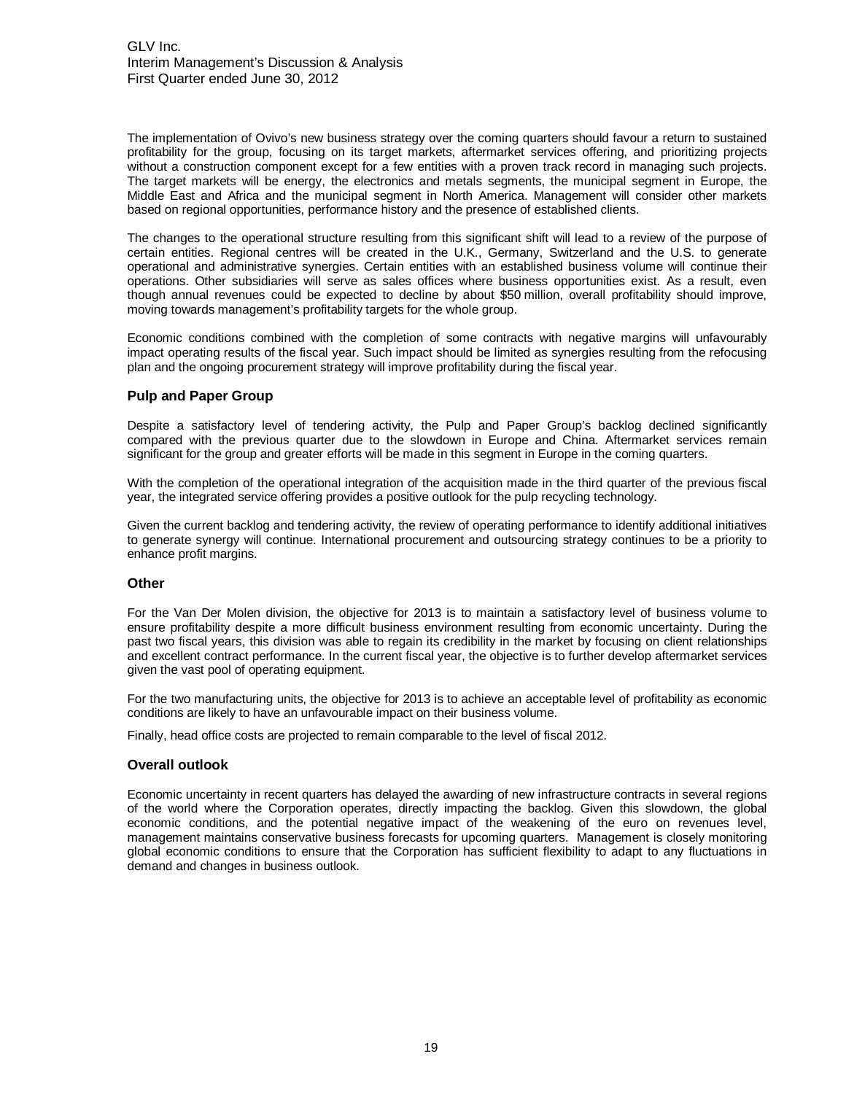The implementation of Ovivo's new business strategy over the coming quarters should favour a return to sustained profitability for the group, focusing on its target markets, aftermarket services offering, and prioritizing projects without a construction component except for a few entities with a proven track record in managing such projects. The target markets will be energy, the electronics and metals segments, the municipal segment in Europe, the Middle East and Africa and the municipal segment in North America. Management will consider other markets based on regional opportunities, performance history and the presence of established clients.

The changes to the operational structure resulting from this significant shift will lead to a review of the purpose of certain entities. Regional centres will be created in the U.K., Germany, Switzerland and the U.S. to generate operational and administrative synergies. Certain entities with an established business volume will continue their operations. Other subsidiaries will serve as sales offices where business opportunities exist. As a result, even though annual revenues could be expected to decline by about \$50 million, overall profitability should improve, moving towards management's profitability targets for the whole group.

Economic conditions combined with the completion of some contracts with negative margins will unfavourably impact operating results of the fiscal year. Such impact should be limited as synergies resulting from the refocusing plan and the ongoing procurement strategy will improve profitability during the fiscal year.

# **Pulp and Paper Group**

Despite a satisfactory level of tendering activity, the Pulp and Paper Group's backlog declined significantly compared with the previous quarter due to the slowdown in Europe and China. Aftermarket services remain significant for the group and greater efforts will be made in this segment in Europe in the coming quarters.

With the completion of the operational integration of the acquisition made in the third quarter of the previous fiscal year, the integrated service offering provides a positive outlook for the pulp recycling technology.

Given the current backlog and tendering activity, the review of operating performance to identify additional initiatives to generate synergy will continue. International procurement and outsourcing strategy continues to be a priority to enhance profit margins.

#### **Other**

For the Van Der Molen division, the objective for 2013 is to maintain a satisfactory level of business volume to ensure profitability despite a more difficult business environment resulting from economic uncertainty. During the past two fiscal years, this division was able to regain its credibility in the market by focusing on client relationships and excellent contract performance. In the current fiscal year, the objective is to further develop aftermarket services given the vast pool of operating equipment.

For the two manufacturing units, the objective for 2013 is to achieve an acceptable level of profitability as economic conditions are likely to have an unfavourable impact on their business volume.

Finally, head office costs are projected to remain comparable to the level of fiscal 2012.

#### **Overall outlook**

Economic uncertainty in recent quarters has delayed the awarding of new infrastructure contracts in several regions of the world where the Corporation operates, directly impacting the backlog. Given this slowdown, the global economic conditions, and the potential negative impact of the weakening of the euro on revenues level, management maintains conservative business forecasts for upcoming quarters. Management is closely monitoring global economic conditions to ensure that the Corporation has sufficient flexibility to adapt to any fluctuations in demand and changes in business outlook.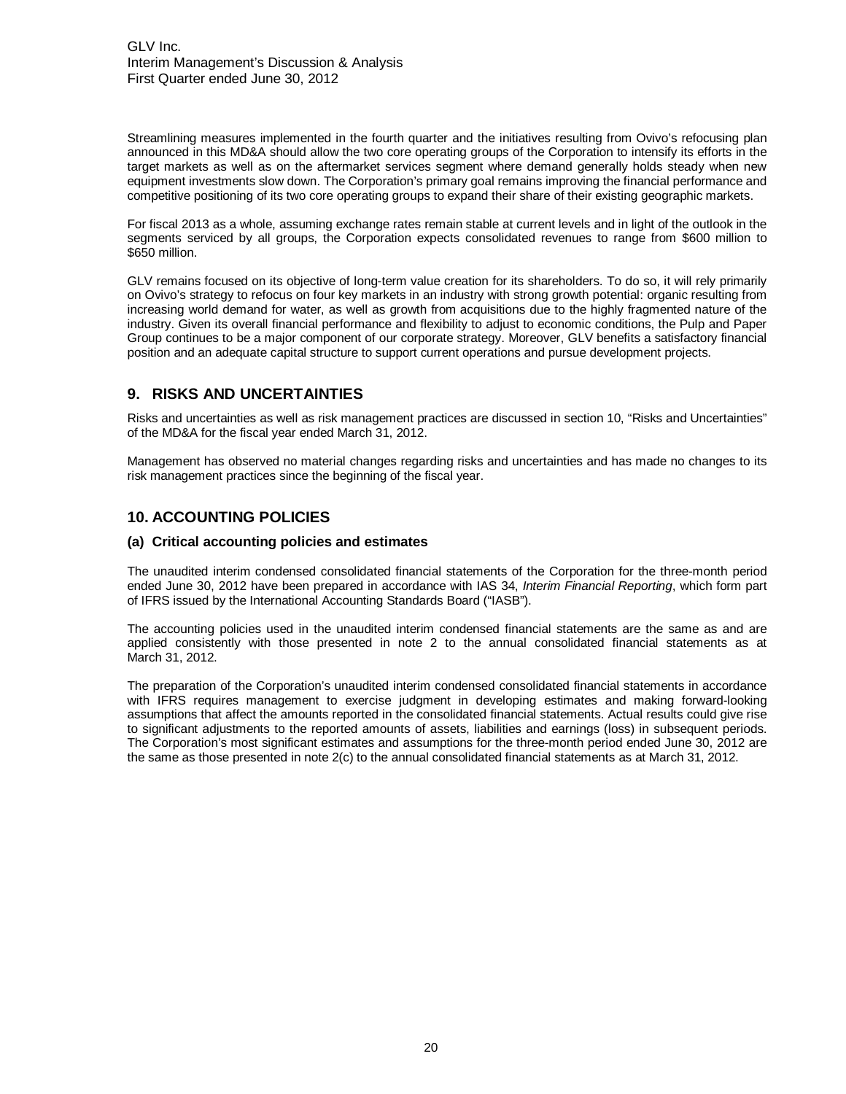<span id="page-19-0"></span>Streamlining measures implemented in the fourth quarter and the initiatives resulting from Ovivo's refocusing plan announced in this MD&A should allow the two core operating groups of the Corporation to intensify its efforts in the target markets as well as on the aftermarket services segment where demand generally holds steady when new equipment investments slow down. The Corporation's primary goal remains improving the financial performance and competitive positioning of its two core operating groups to expand their share of their existing geographic markets.

For fiscal 2013 as a whole, assuming exchange rates remain stable at current levels and in light of the outlook in the segments serviced by all groups, the Corporation expects consolidated revenues to range from \$600 million to \$650 million.

GLV remains focused on its objective of long-term value creation for its shareholders. To do so, it will rely primarily on Ovivo's strategy to refocus on four key markets in an industry with strong growth potential: organic resulting from increasing world demand for water, as well as growth from acquisitions due to the highly fragmented nature of the industry. Given its overall financial performance and flexibility to adjust to economic conditions, the Pulp and Paper Group continues to be a major component of our corporate strategy. Moreover, GLV benefits a satisfactory financial position and an adequate capital structure to support current operations and pursue development projects.

# **9. RISKS AND UNCERTAINTIES**

Risks and uncertainties as well as risk management practices are discussed in section 10, "Risks and Uncertainties" of the MD&A for the fiscal year ended March 31, 2012.

Management has observed no material changes regarding risks and uncertainties and has made no changes to its risk management practices since the beginning of the fiscal year.

# **10. ACCOUNTING POLICIES**

#### **(a) Critical accounting policies and estimates**

The unaudited interim condensed consolidated financial statements of the Corporation for the three-month period ended June 30, 2012 have been prepared in accordance with IAS 34, Interim Financial Reporting, which form part of IFRS issued by the International Accounting Standards Board ("IASB").

The accounting policies used in the unaudited interim condensed financial statements are the same as and are applied consistently with those presented in note 2 to the annual consolidated financial statements as at March 31, 2012.

The preparation of the Corporation's unaudited interim condensed consolidated financial statements in accordance with IFRS requires management to exercise judgment in developing estimates and making forward-looking assumptions that affect the amounts reported in the consolidated financial statements. Actual results could give rise to significant adjustments to the reported amounts of assets, liabilities and earnings (loss) in subsequent periods. The Corporation's most significant estimates and assumptions for the three-month period ended June 30, 2012 are the same as those presented in note 2(c) to the annual consolidated financial statements as at March 31, 2012.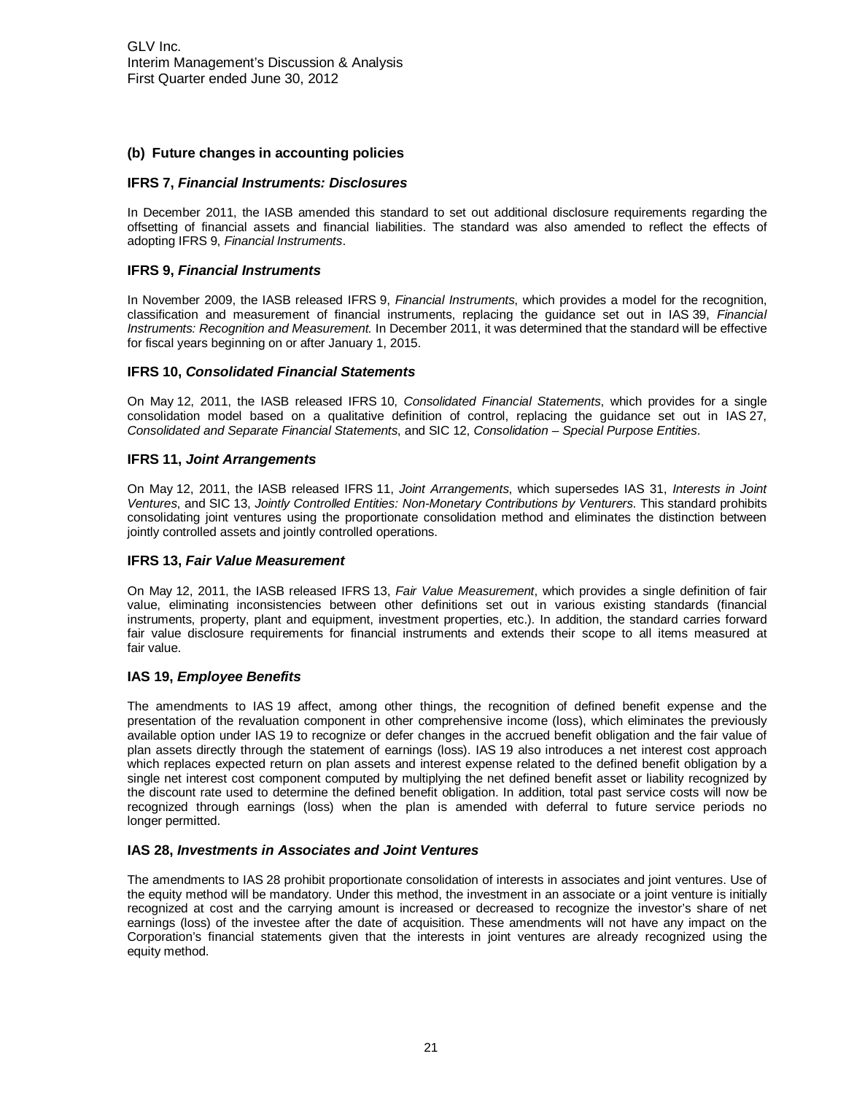# **(b) Future changes in accounting policies**

#### **IFRS 7, Financial Instruments: Disclosures**

In December 2011, the IASB amended this standard to set out additional disclosure requirements regarding the offsetting of financial assets and financial liabilities. The standard was also amended to reflect the effects of adopting IFRS 9, Financial Instruments.

#### **IFRS 9, Financial Instruments**

In November 2009, the IASB released IFRS 9, Financial Instruments, which provides a model for the recognition, classification and measurement of financial instruments, replacing the guidance set out in IAS 39, Financial Instruments: Recognition and Measurement. In December 2011, it was determined that the standard will be effective for fiscal years beginning on or after January 1, 2015.

#### **IFRS 10, Consolidated Financial Statements**

On May 12, 2011, the IASB released IFRS 10, Consolidated Financial Statements, which provides for a single consolidation model based on a qualitative definition of control, replacing the guidance set out in IAS 27, Consolidated and Separate Financial Statements, and SIC 12, Consolidation – Special Purpose Entities.

#### **IFRS 11, Joint Arrangements**

On May 12, 2011, the IASB released IFRS 11, Joint Arrangements, which supersedes IAS 31, Interests in Joint Ventures, and SIC 13, Jointly Controlled Entities: Non-Monetary Contributions by Venturers. This standard prohibits consolidating joint ventures using the proportionate consolidation method and eliminates the distinction between jointly controlled assets and jointly controlled operations.

#### **IFRS 13, Fair Value Measurement**

On May 12, 2011, the IASB released IFRS 13, Fair Value Measurement, which provides a single definition of fair value, eliminating inconsistencies between other definitions set out in various existing standards (financial instruments, property, plant and equipment, investment properties, etc.). In addition, the standard carries forward fair value disclosure requirements for financial instruments and extends their scope to all items measured at fair value.

# **IAS 19, Employee Benefits**

The amendments to IAS 19 affect, among other things, the recognition of defined benefit expense and the presentation of the revaluation component in other comprehensive income (loss), which eliminates the previously available option under IAS 19 to recognize or defer changes in the accrued benefit obligation and the fair value of plan assets directly through the statement of earnings (loss). IAS 19 also introduces a net interest cost approach which replaces expected return on plan assets and interest expense related to the defined benefit obligation by a single net interest cost component computed by multiplying the net defined benefit asset or liability recognized by the discount rate used to determine the defined benefit obligation. In addition, total past service costs will now be recognized through earnings (loss) when the plan is amended with deferral to future service periods no longer permitted.

# **IAS 28, Investments in Associates and Joint Ventures**

The amendments to IAS 28 prohibit proportionate consolidation of interests in associates and joint ventures. Use of the equity method will be mandatory. Under this method, the investment in an associate or a joint venture is initially recognized at cost and the carrying amount is increased or decreased to recognize the investor's share of net earnings (loss) of the investee after the date of acquisition. These amendments will not have any impact on the Corporation's financial statements given that the interests in joint ventures are already recognized using the equity method.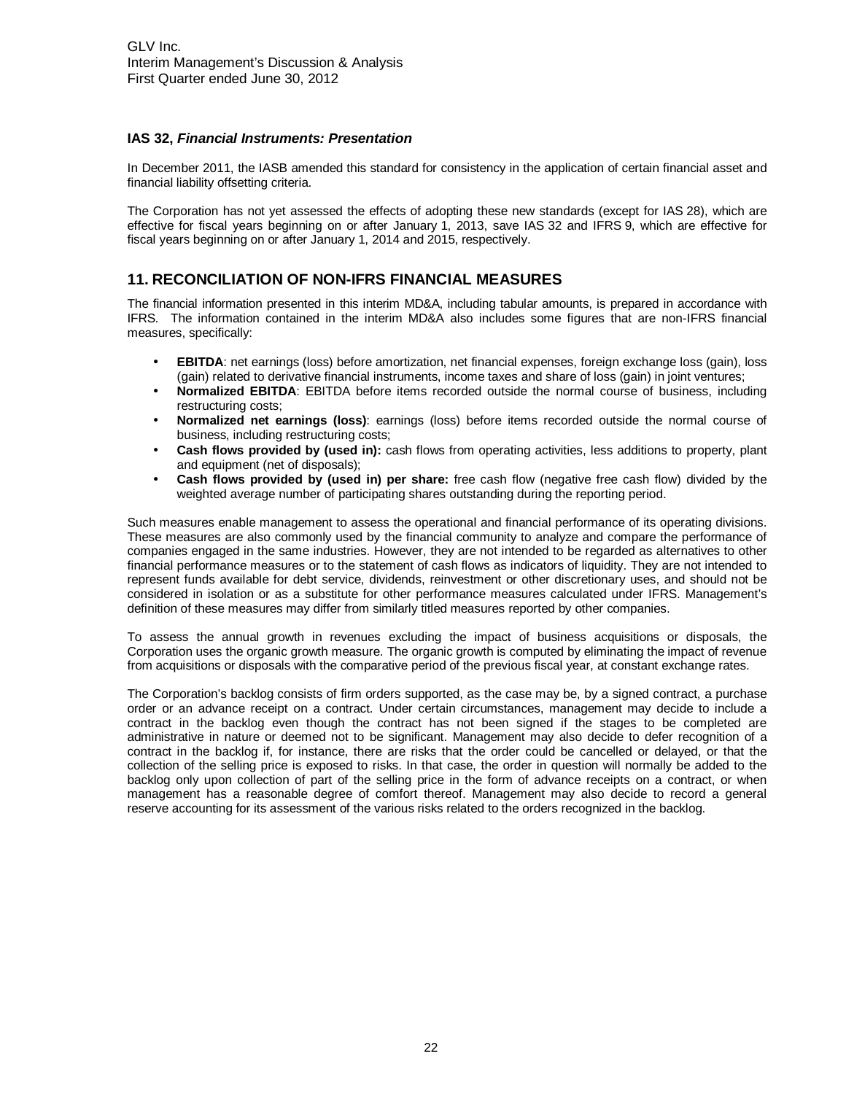# <span id="page-21-0"></span>**IAS 32, Financial Instruments: Presentation**

In December 2011, the IASB amended this standard for consistency in the application of certain financial asset and financial liability offsetting criteria.

The Corporation has not yet assessed the effects of adopting these new standards (except for IAS 28), which are effective for fiscal years beginning on or after January 1, 2013, save IAS 32 and IFRS 9, which are effective for fiscal years beginning on or after January 1, 2014 and 2015, respectively.

# **11. RECONCILIATION OF NON-IFRS FINANCIAL MEASURES**

The financial information presented in this interim MD&A, including tabular amounts, is prepared in accordance with IFRS. The information contained in the interim MD&A also includes some figures that are non-IFRS financial measures, specifically:

- **EBITDA**: net earnings (loss) before amortization, net financial expenses, foreign exchange loss (gain), loss (gain) related to derivative financial instruments, income taxes and share of loss (gain) in joint ventures;
- **Normalized EBITDA**: EBITDA before items recorded outside the normal course of business, including restructuring costs;
- **Normalized net earnings (loss)**: earnings (loss) before items recorded outside the normal course of business, including restructuring costs;
- **Cash flows provided by (used in):** cash flows from operating activities, less additions to property, plant and equipment (net of disposals);
- **Cash flows provided by (used in) per share:** free cash flow (negative free cash flow) divided by the weighted average number of participating shares outstanding during the reporting period.

Such measures enable management to assess the operational and financial performance of its operating divisions. These measures are also commonly used by the financial community to analyze and compare the performance of companies engaged in the same industries. However, they are not intended to be regarded as alternatives to other financial performance measures or to the statement of cash flows as indicators of liquidity. They are not intended to represent funds available for debt service, dividends, reinvestment or other discretionary uses, and should not be considered in isolation or as a substitute for other performance measures calculated under IFRS. Management's definition of these measures may differ from similarly titled measures reported by other companies.

To assess the annual growth in revenues excluding the impact of business acquisitions or disposals, the Corporation uses the organic growth measure. The organic growth is computed by eliminating the impact of revenue from acquisitions or disposals with the comparative period of the previous fiscal year, at constant exchange rates.

The Corporation's backlog consists of firm orders supported, as the case may be, by a signed contract, a purchase order or an advance receipt on a contract. Under certain circumstances, management may decide to include a contract in the backlog even though the contract has not been signed if the stages to be completed are administrative in nature or deemed not to be significant. Management may also decide to defer recognition of a contract in the backlog if, for instance, there are risks that the order could be cancelled or delayed, or that the collection of the selling price is exposed to risks. In that case, the order in question will normally be added to the backlog only upon collection of part of the selling price in the form of advance receipts on a contract, or when management has a reasonable degree of comfort thereof. Management may also decide to record a general reserve accounting for its assessment of the various risks related to the orders recognized in the backlog.